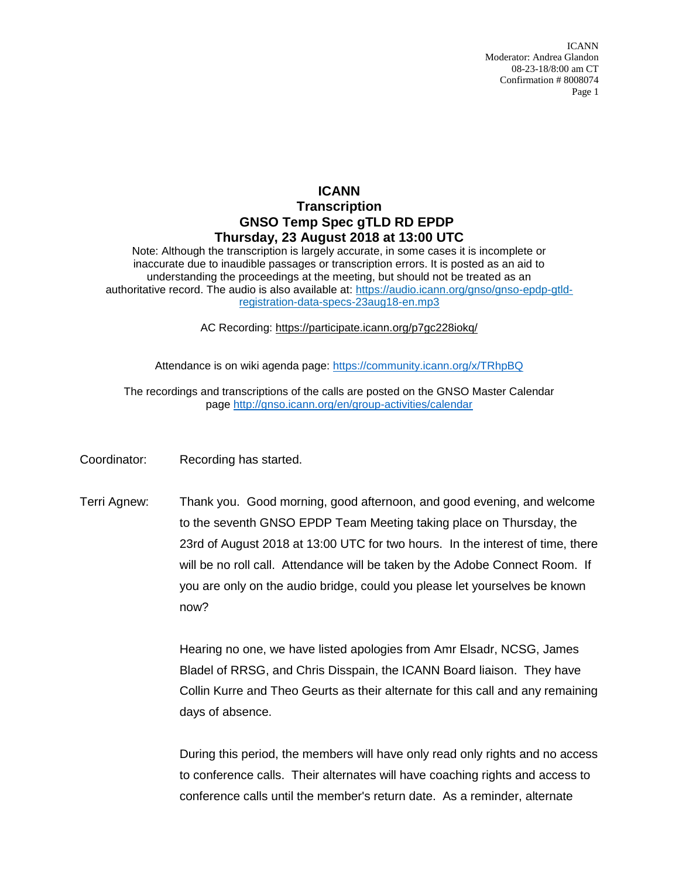ICANN Moderator: Andrea Glandon 08-23-18/8:00 am CT Confirmation # 8008074 Page 1

## **ICANN Transcription GNSO Temp Spec gTLD RD EPDP Thursday, 23 August 2018 at 13:00 UTC**

Note: Although the transcription is largely accurate, in some cases it is incomplete or inaccurate due to inaudible passages or transcription errors. It is posted as an aid to understanding the proceedings at the meeting, but should not be treated as an authoritative record. The audio is also available at: [https://audio.icann.org/gnso/gnso-epdp-gtld](https://urldefense.proofpoint.com/v2/url?u=https-3A__audio.icann.org_gnso_gnso-2Depdp-2Dgtld-2Dregistration-2Ddata-2Dspecs-2D23aug18-2Den.mp3&d=DwMFaQ&c=FmY1u3PJp6wrcrwll3mSVzgfkbPSS6sJms7xcl4I5cM&r=k7uKdjSb7_ZjItyVqrCYHo_rKms9SFxlmbYEJqG-y9I&m=gyIDw7fygtjVkBSnNCvMIz9_jFW_J5HBtMwdxfUBtJM&s=W8BfV6ZbNFB_XQIznGZGgIZDsOLVt3nWU6HU5TouSYE&e=)[registration-data-specs-23aug18-en.mp3](https://urldefense.proofpoint.com/v2/url?u=https-3A__audio.icann.org_gnso_gnso-2Depdp-2Dgtld-2Dregistration-2Ddata-2Dspecs-2D23aug18-2Den.mp3&d=DwMFaQ&c=FmY1u3PJp6wrcrwll3mSVzgfkbPSS6sJms7xcl4I5cM&r=k7uKdjSb7_ZjItyVqrCYHo_rKms9SFxlmbYEJqG-y9I&m=gyIDw7fygtjVkBSnNCvMIz9_jFW_J5HBtMwdxfUBtJM&s=W8BfV6ZbNFB_XQIznGZGgIZDsOLVt3nWU6HU5TouSYE&e=) 

AC Recording: [https://participate.icann.org/p7gc228iokq/](https://participate.icann.org/p7gc228iokq/?OWASP_CSRFTOKEN=863031ed14eb3300cf3df143c4c03a740e1ebb65b884caebd370f2c818d7f3dd)

Attendance is on wiki agenda page:<https://community.icann.org/x/TRhpBQ>

The recordings and transcriptions of the calls are posted on the GNSO Master Calendar page<http://gnso.icann.org/en/group-activities/calendar>

- Coordinator: Recording has started.
- Terri Agnew: Thank you. Good morning, good afternoon, and good evening, and welcome to the seventh GNSO EPDP Team Meeting taking place on Thursday, the 23rd of August 2018 at 13:00 UTC for two hours. In the interest of time, there will be no roll call. Attendance will be taken by the Adobe Connect Room. If you are only on the audio bridge, could you please let yourselves be known now?

Hearing no one, we have listed apologies from Amr Elsadr, NCSG, James Bladel of RRSG, and Chris Disspain, the ICANN Board liaison. They have Collin Kurre and Theo Geurts as their alternate for this call and any remaining days of absence.

During this period, the members will have only read only rights and no access to conference calls. Their alternates will have coaching rights and access to conference calls until the member's return date. As a reminder, alternate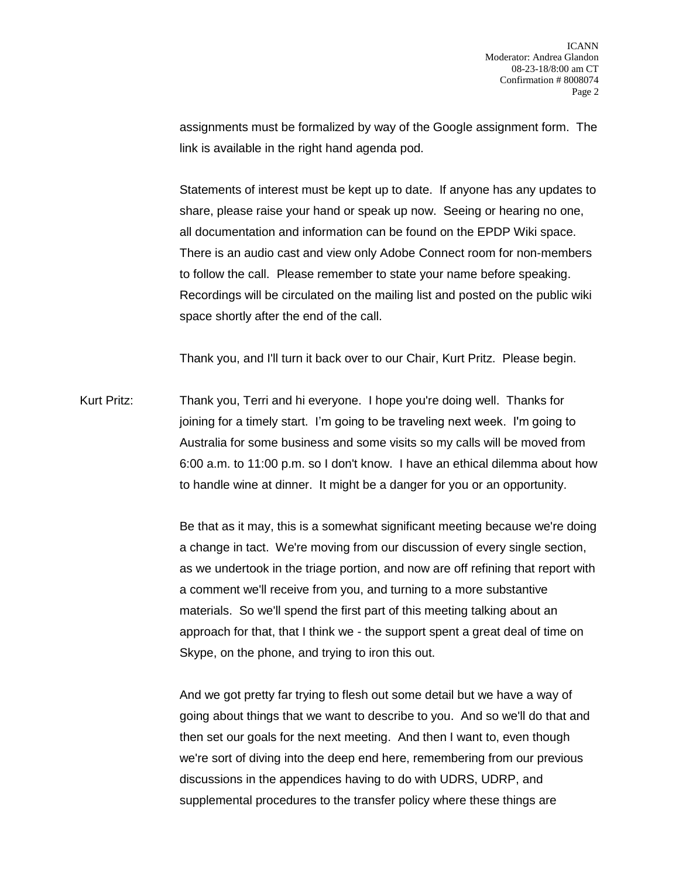assignments must be formalized by way of the Google assignment form. The link is available in the right hand agenda pod.

Statements of interest must be kept up to date. If anyone has any updates to share, please raise your hand or speak up now. Seeing or hearing no one, all documentation and information can be found on the EPDP Wiki space. There is an audio cast and view only Adobe Connect room for non-members to follow the call. Please remember to state your name before speaking. Recordings will be circulated on the mailing list and posted on the public wiki space shortly after the end of the call.

Thank you, and I'll turn it back over to our Chair, Kurt Pritz. Please begin.

Kurt Pritz: Thank you, Terri and hi everyone. I hope you're doing well. Thanks for joining for a timely start. I'm going to be traveling next week. I'm going to Australia for some business and some visits so my calls will be moved from 6:00 a.m. to 11:00 p.m. so I don't know. I have an ethical dilemma about how to handle wine at dinner. It might be a danger for you or an opportunity.

> Be that as it may, this is a somewhat significant meeting because we're doing a change in tact. We're moving from our discussion of every single section, as we undertook in the triage portion, and now are off refining that report with a comment we'll receive from you, and turning to a more substantive materials. So we'll spend the first part of this meeting talking about an approach for that, that I think we - the support spent a great deal of time on Skype, on the phone, and trying to iron this out.

And we got pretty far trying to flesh out some detail but we have a way of going about things that we want to describe to you. And so we'll do that and then set our goals for the next meeting. And then I want to, even though we're sort of diving into the deep end here, remembering from our previous discussions in the appendices having to do with UDRS, UDRP, and supplemental procedures to the transfer policy where these things are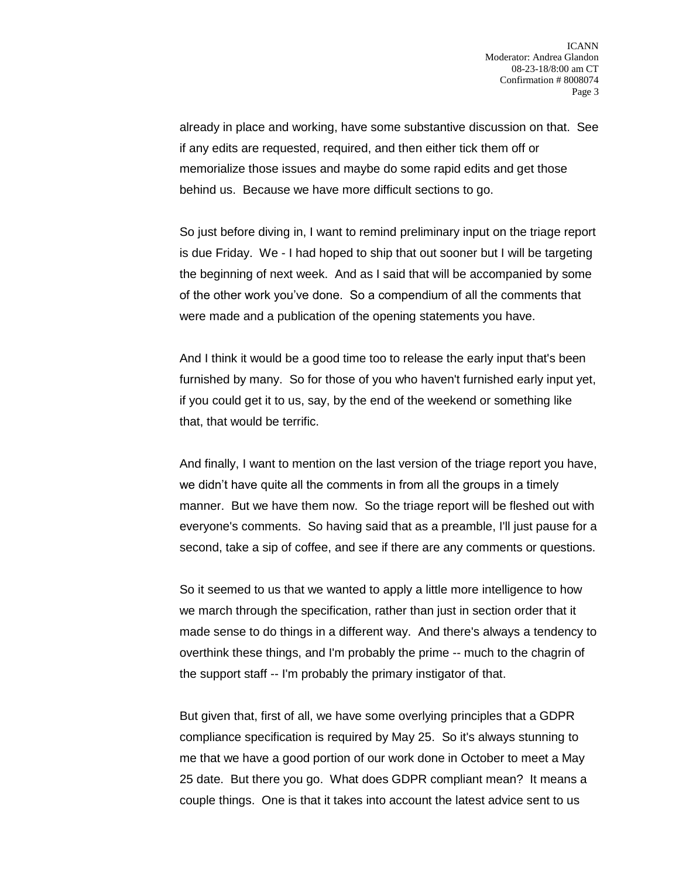already in place and working, have some substantive discussion on that. See if any edits are requested, required, and then either tick them off or memorialize those issues and maybe do some rapid edits and get those behind us. Because we have more difficult sections to go.

So just before diving in, I want to remind preliminary input on the triage report is due Friday. We - I had hoped to ship that out sooner but I will be targeting the beginning of next week. And as I said that will be accompanied by some of the other work you've done. So a compendium of all the comments that were made and a publication of the opening statements you have.

And I think it would be a good time too to release the early input that's been furnished by many. So for those of you who haven't furnished early input yet, if you could get it to us, say, by the end of the weekend or something like that, that would be terrific.

And finally, I want to mention on the last version of the triage report you have, we didn't have quite all the comments in from all the groups in a timely manner. But we have them now. So the triage report will be fleshed out with everyone's comments. So having said that as a preamble, I'll just pause for a second, take a sip of coffee, and see if there are any comments or questions.

So it seemed to us that we wanted to apply a little more intelligence to how we march through the specification, rather than just in section order that it made sense to do things in a different way. And there's always a tendency to overthink these things, and I'm probably the prime -- much to the chagrin of the support staff -- I'm probably the primary instigator of that.

But given that, first of all, we have some overlying principles that a GDPR compliance specification is required by May 25. So it's always stunning to me that we have a good portion of our work done in October to meet a May 25 date. But there you go. What does GDPR compliant mean? It means a couple things. One is that it takes into account the latest advice sent to us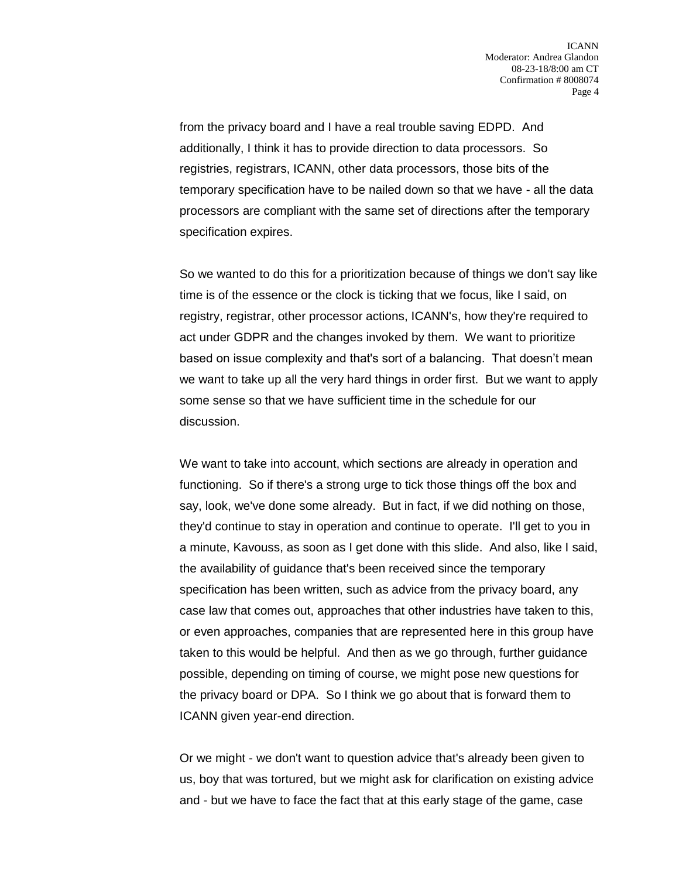from the privacy board and I have a real trouble saving EDPD. And additionally, I think it has to provide direction to data processors. So registries, registrars, ICANN, other data processors, those bits of the temporary specification have to be nailed down so that we have - all the data processors are compliant with the same set of directions after the temporary specification expires.

So we wanted to do this for a prioritization because of things we don't say like time is of the essence or the clock is ticking that we focus, like I said, on registry, registrar, other processor actions, ICANN's, how they're required to act under GDPR and the changes invoked by them. We want to prioritize based on issue complexity and that's sort of a balancing. That doesn't mean we want to take up all the very hard things in order first. But we want to apply some sense so that we have sufficient time in the schedule for our discussion.

We want to take into account, which sections are already in operation and functioning. So if there's a strong urge to tick those things off the box and say, look, we've done some already. But in fact, if we did nothing on those, they'd continue to stay in operation and continue to operate. I'll get to you in a minute, Kavouss, as soon as I get done with this slide. And also, like I said, the availability of guidance that's been received since the temporary specification has been written, such as advice from the privacy board, any case law that comes out, approaches that other industries have taken to this, or even approaches, companies that are represented here in this group have taken to this would be helpful. And then as we go through, further guidance possible, depending on timing of course, we might pose new questions for the privacy board or DPA. So I think we go about that is forward them to ICANN given year-end direction.

Or we might - we don't want to question advice that's already been given to us, boy that was tortured, but we might ask for clarification on existing advice and - but we have to face the fact that at this early stage of the game, case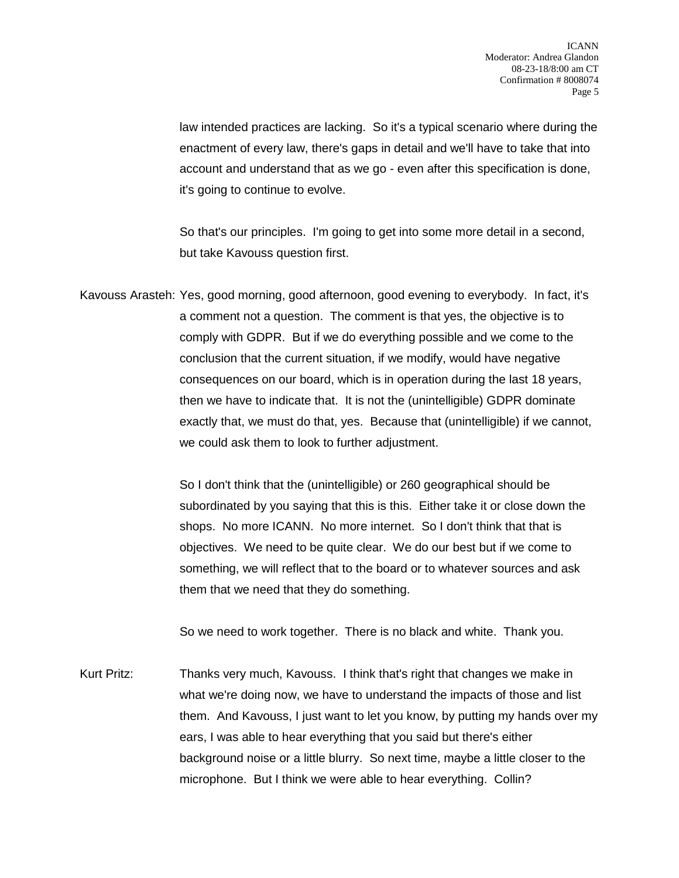law intended practices are lacking. So it's a typical scenario where during the enactment of every law, there's gaps in detail and we'll have to take that into account and understand that as we go - even after this specification is done, it's going to continue to evolve.

So that's our principles. I'm going to get into some more detail in a second, but take Kavouss question first.

Kavouss Arasteh: Yes, good morning, good afternoon, good evening to everybody. In fact, it's a comment not a question. The comment is that yes, the objective is to comply with GDPR. But if we do everything possible and we come to the conclusion that the current situation, if we modify, would have negative consequences on our board, which is in operation during the last 18 years, then we have to indicate that. It is not the (unintelligible) GDPR dominate exactly that, we must do that, yes. Because that (unintelligible) if we cannot, we could ask them to look to further adjustment.

> So I don't think that the (unintelligible) or 260 geographical should be subordinated by you saying that this is this. Either take it or close down the shops. No more ICANN. No more internet. So I don't think that that is objectives. We need to be quite clear. We do our best but if we come to something, we will reflect that to the board or to whatever sources and ask them that we need that they do something.

So we need to work together. There is no black and white. Thank you.

Kurt Pritz: Thanks very much, Kavouss. I think that's right that changes we make in what we're doing now, we have to understand the impacts of those and list them. And Kavouss, I just want to let you know, by putting my hands over my ears, I was able to hear everything that you said but there's either background noise or a little blurry. So next time, maybe a little closer to the microphone. But I think we were able to hear everything. Collin?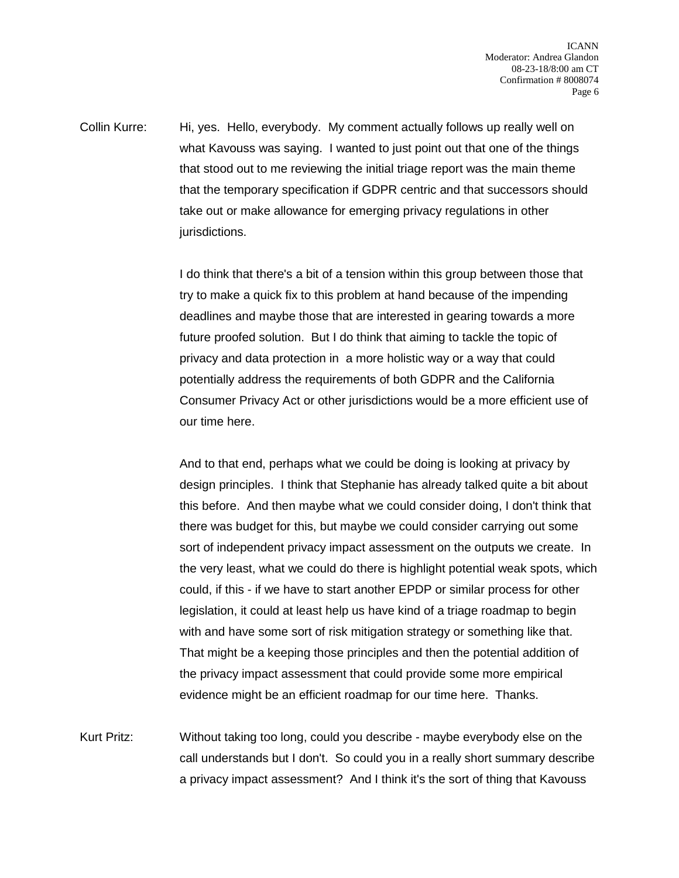Collin Kurre: Hi, yes. Hello, everybody. My comment actually follows up really well on what Kavouss was saying. I wanted to just point out that one of the things that stood out to me reviewing the initial triage report was the main theme that the temporary specification if GDPR centric and that successors should take out or make allowance for emerging privacy regulations in other jurisdictions.

> I do think that there's a bit of a tension within this group between those that try to make a quick fix to this problem at hand because of the impending deadlines and maybe those that are interested in gearing towards a more future proofed solution. But I do think that aiming to tackle the topic of privacy and data protection in a more holistic way or a way that could potentially address the requirements of both GDPR and the California Consumer Privacy Act or other jurisdictions would be a more efficient use of our time here.

And to that end, perhaps what we could be doing is looking at privacy by design principles. I think that Stephanie has already talked quite a bit about this before. And then maybe what we could consider doing, I don't think that there was budget for this, but maybe we could consider carrying out some sort of independent privacy impact assessment on the outputs we create. In the very least, what we could do there is highlight potential weak spots, which could, if this - if we have to start another EPDP or similar process for other legislation, it could at least help us have kind of a triage roadmap to begin with and have some sort of risk mitigation strategy or something like that. That might be a keeping those principles and then the potential addition of the privacy impact assessment that could provide some more empirical evidence might be an efficient roadmap for our time here. Thanks.

Kurt Pritz: Without taking too long, could you describe - maybe everybody else on the call understands but I don't. So could you in a really short summary describe a privacy impact assessment? And I think it's the sort of thing that Kavouss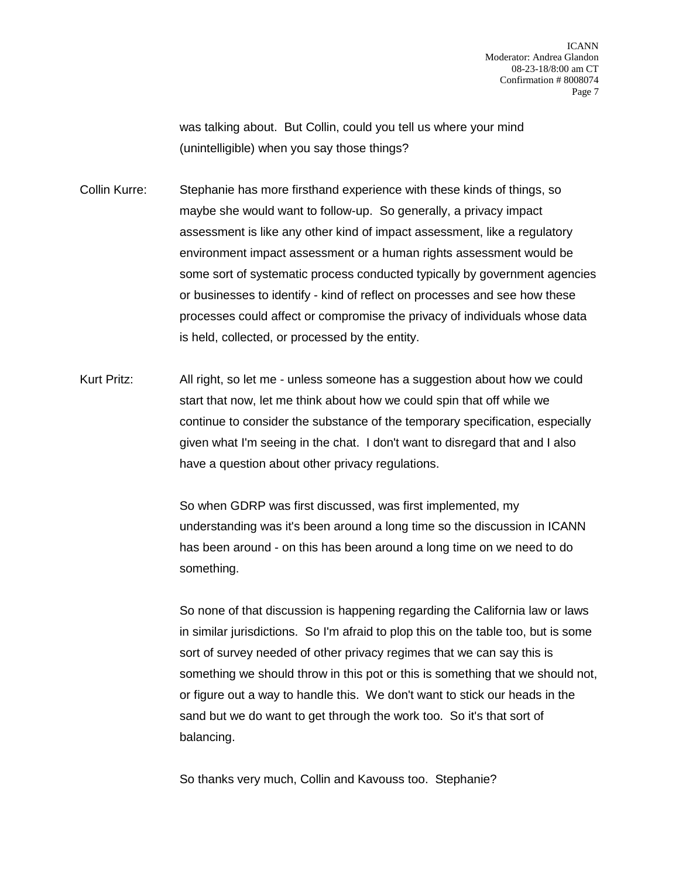was talking about. But Collin, could you tell us where your mind (unintelligible) when you say those things?

Collin Kurre: Stephanie has more firsthand experience with these kinds of things, so maybe she would want to follow-up. So generally, a privacy impact assessment is like any other kind of impact assessment, like a regulatory environment impact assessment or a human rights assessment would be some sort of systematic process conducted typically by government agencies or businesses to identify - kind of reflect on processes and see how these processes could affect or compromise the privacy of individuals whose data is held, collected, or processed by the entity.

Kurt Pritz: All right, so let me - unless someone has a suggestion about how we could start that now, let me think about how we could spin that off while we continue to consider the substance of the temporary specification, especially given what I'm seeing in the chat. I don't want to disregard that and I also have a question about other privacy regulations.

> So when GDRP was first discussed, was first implemented, my understanding was it's been around a long time so the discussion in ICANN has been around - on this has been around a long time on we need to do something.

So none of that discussion is happening regarding the California law or laws in similar jurisdictions. So I'm afraid to plop this on the table too, but is some sort of survey needed of other privacy regimes that we can say this is something we should throw in this pot or this is something that we should not, or figure out a way to handle this. We don't want to stick our heads in the sand but we do want to get through the work too. So it's that sort of balancing.

So thanks very much, Collin and Kavouss too. Stephanie?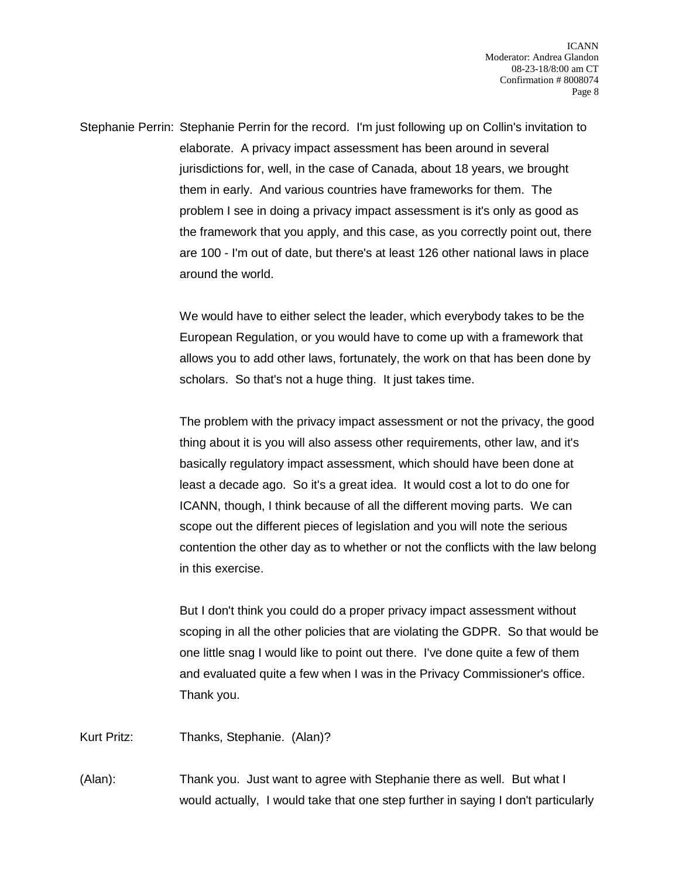Stephanie Perrin: Stephanie Perrin for the record. I'm just following up on Collin's invitation to elaborate. A privacy impact assessment has been around in several jurisdictions for, well, in the case of Canada, about 18 years, we brought them in early. And various countries have frameworks for them. The problem I see in doing a privacy impact assessment is it's only as good as the framework that you apply, and this case, as you correctly point out, there are 100 - I'm out of date, but there's at least 126 other national laws in place around the world.

> We would have to either select the leader, which everybody takes to be the European Regulation, or you would have to come up with a framework that allows you to add other laws, fortunately, the work on that has been done by scholars. So that's not a huge thing. It just takes time.

The problem with the privacy impact assessment or not the privacy, the good thing about it is you will also assess other requirements, other law, and it's basically regulatory impact assessment, which should have been done at least a decade ago. So it's a great idea. It would cost a lot to do one for ICANN, though, I think because of all the different moving parts. We can scope out the different pieces of legislation and you will note the serious contention the other day as to whether or not the conflicts with the law belong in this exercise.

But I don't think you could do a proper privacy impact assessment without scoping in all the other policies that are violating the GDPR. So that would be one little snag I would like to point out there. I've done quite a few of them and evaluated quite a few when I was in the Privacy Commissioner's office. Thank you.

Kurt Pritz: Thanks, Stephanie. (Alan)?

(Alan): Thank you. Just want to agree with Stephanie there as well. But what I would actually, I would take that one step further in saying I don't particularly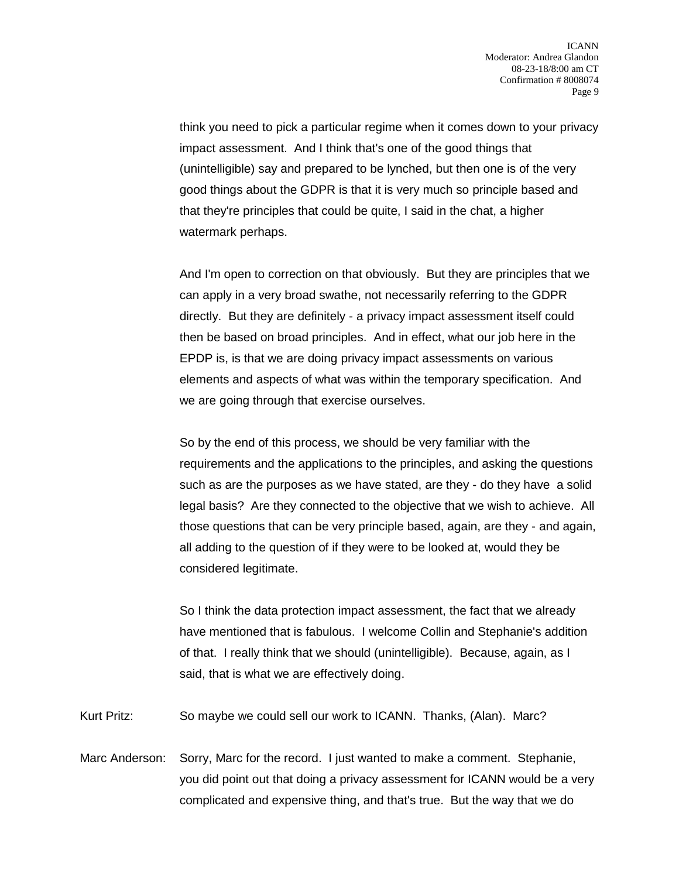think you need to pick a particular regime when it comes down to your privacy impact assessment. And I think that's one of the good things that (unintelligible) say and prepared to be lynched, but then one is of the very good things about the GDPR is that it is very much so principle based and that they're principles that could be quite, I said in the chat, a higher watermark perhaps.

And I'm open to correction on that obviously. But they are principles that we can apply in a very broad swathe, not necessarily referring to the GDPR directly. But they are definitely - a privacy impact assessment itself could then be based on broad principles. And in effect, what our job here in the EPDP is, is that we are doing privacy impact assessments on various elements and aspects of what was within the temporary specification. And we are going through that exercise ourselves.

So by the end of this process, we should be very familiar with the requirements and the applications to the principles, and asking the questions such as are the purposes as we have stated, are they - do they have a solid legal basis? Are they connected to the objective that we wish to achieve. All those questions that can be very principle based, again, are they - and again, all adding to the question of if they were to be looked at, would they be considered legitimate.

So I think the data protection impact assessment, the fact that we already have mentioned that is fabulous. I welcome Collin and Stephanie's addition of that. I really think that we should (unintelligible). Because, again, as I said, that is what we are effectively doing.

Kurt Pritz: So maybe we could sell our work to ICANN. Thanks, (Alan). Marc?

Marc Anderson: Sorry, Marc for the record. I just wanted to make a comment. Stephanie, you did point out that doing a privacy assessment for ICANN would be a very complicated and expensive thing, and that's true. But the way that we do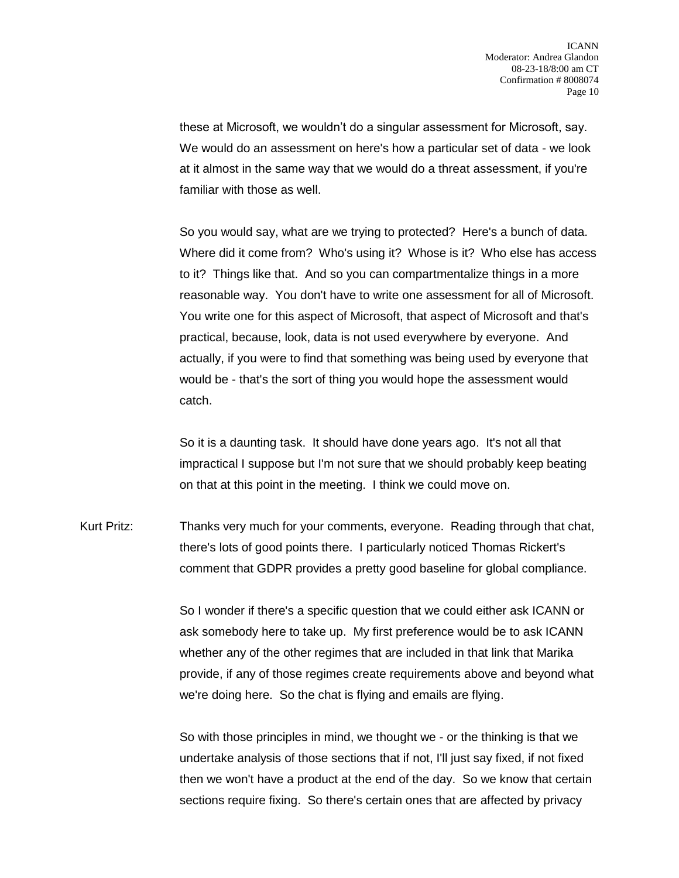these at Microsoft, we wouldn't do a singular assessment for Microsoft, say. We would do an assessment on here's how a particular set of data - we look at it almost in the same way that we would do a threat assessment, if you're familiar with those as well.

So you would say, what are we trying to protected? Here's a bunch of data. Where did it come from? Who's using it? Whose is it? Who else has access to it? Things like that. And so you can compartmentalize things in a more reasonable way. You don't have to write one assessment for all of Microsoft. You write one for this aspect of Microsoft, that aspect of Microsoft and that's practical, because, look, data is not used everywhere by everyone. And actually, if you were to find that something was being used by everyone that would be - that's the sort of thing you would hope the assessment would catch.

So it is a daunting task. It should have done years ago. It's not all that impractical I suppose but I'm not sure that we should probably keep beating on that at this point in the meeting. I think we could move on.

Kurt Pritz: Thanks very much for your comments, everyone. Reading through that chat, there's lots of good points there. I particularly noticed Thomas Rickert's comment that GDPR provides a pretty good baseline for global compliance.

> So I wonder if there's a specific question that we could either ask ICANN or ask somebody here to take up. My first preference would be to ask ICANN whether any of the other regimes that are included in that link that Marika provide, if any of those regimes create requirements above and beyond what we're doing here. So the chat is flying and emails are flying.

> So with those principles in mind, we thought we - or the thinking is that we undertake analysis of those sections that if not, I'll just say fixed, if not fixed then we won't have a product at the end of the day. So we know that certain sections require fixing. So there's certain ones that are affected by privacy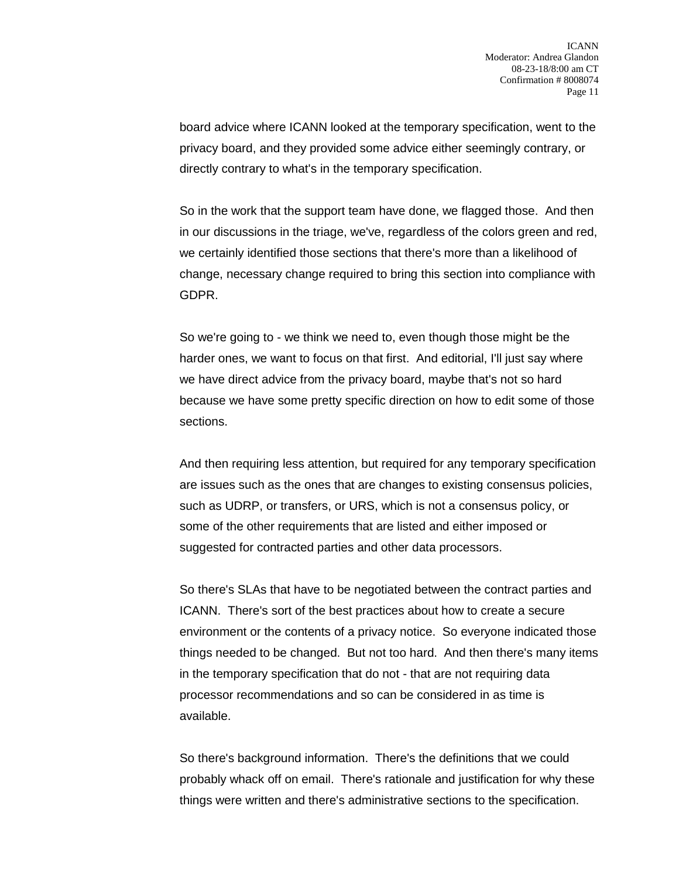board advice where ICANN looked at the temporary specification, went to the privacy board, and they provided some advice either seemingly contrary, or directly contrary to what's in the temporary specification.

So in the work that the support team have done, we flagged those. And then in our discussions in the triage, we've, regardless of the colors green and red, we certainly identified those sections that there's more than a likelihood of change, necessary change required to bring this section into compliance with GDPR.

So we're going to - we think we need to, even though those might be the harder ones, we want to focus on that first. And editorial, I'll just say where we have direct advice from the privacy board, maybe that's not so hard because we have some pretty specific direction on how to edit some of those sections.

And then requiring less attention, but required for any temporary specification are issues such as the ones that are changes to existing consensus policies, such as UDRP, or transfers, or URS, which is not a consensus policy, or some of the other requirements that are listed and either imposed or suggested for contracted parties and other data processors.

So there's SLAs that have to be negotiated between the contract parties and ICANN. There's sort of the best practices about how to create a secure environment or the contents of a privacy notice. So everyone indicated those things needed to be changed. But not too hard. And then there's many items in the temporary specification that do not - that are not requiring data processor recommendations and so can be considered in as time is available.

So there's background information. There's the definitions that we could probably whack off on email. There's rationale and justification for why these things were written and there's administrative sections to the specification.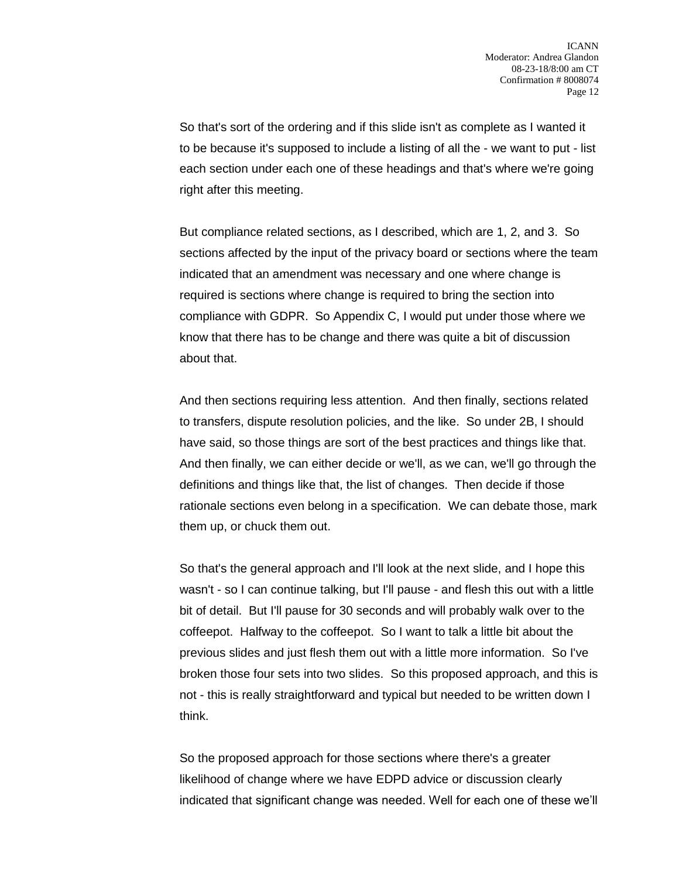So that's sort of the ordering and if this slide isn't as complete as I wanted it to be because it's supposed to include a listing of all the - we want to put - list each section under each one of these headings and that's where we're going right after this meeting.

But compliance related sections, as I described, which are 1, 2, and 3. So sections affected by the input of the privacy board or sections where the team indicated that an amendment was necessary and one where change is required is sections where change is required to bring the section into compliance with GDPR. So Appendix C, I would put under those where we know that there has to be change and there was quite a bit of discussion about that.

And then sections requiring less attention. And then finally, sections related to transfers, dispute resolution policies, and the like. So under 2B, I should have said, so those things are sort of the best practices and things like that. And then finally, we can either decide or we'll, as we can, we'll go through the definitions and things like that, the list of changes. Then decide if those rationale sections even belong in a specification. We can debate those, mark them up, or chuck them out.

So that's the general approach and I'll look at the next slide, and I hope this wasn't - so I can continue talking, but I'll pause - and flesh this out with a little bit of detail. But I'll pause for 30 seconds and will probably walk over to the coffeepot. Halfway to the coffeepot. So I want to talk a little bit about the previous slides and just flesh them out with a little more information. So I've broken those four sets into two slides. So this proposed approach, and this is not - this is really straightforward and typical but needed to be written down I think.

So the proposed approach for those sections where there's a greater likelihood of change where we have EDPD advice or discussion clearly indicated that significant change was needed. Well for each one of these we'll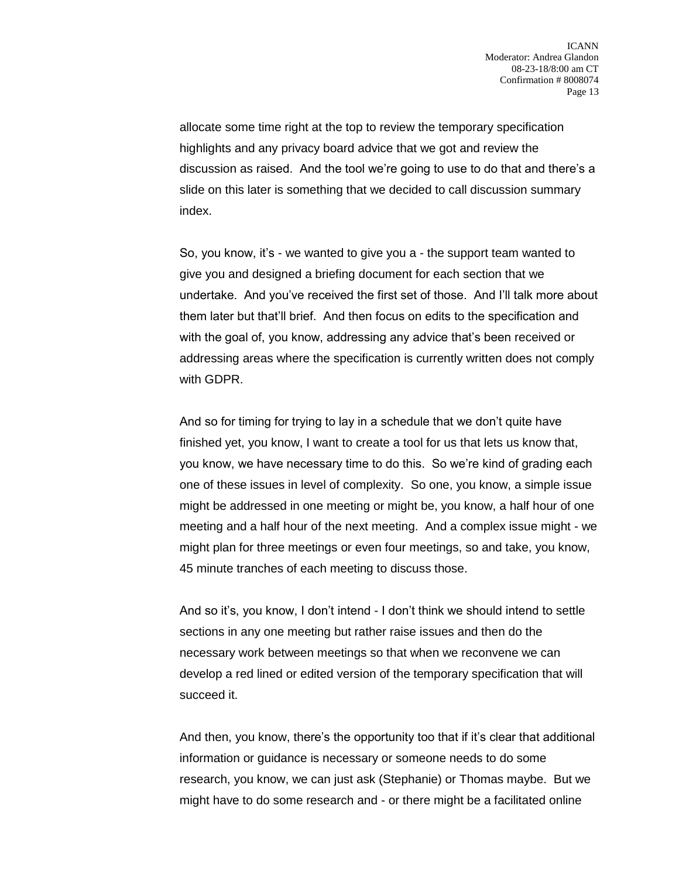allocate some time right at the top to review the temporary specification highlights and any privacy board advice that we got and review the discussion as raised. And the tool we're going to use to do that and there's a slide on this later is something that we decided to call discussion summary index.

So, you know, it's - we wanted to give you a - the support team wanted to give you and designed a briefing document for each section that we undertake. And you've received the first set of those. And I'll talk more about them later but that'll brief. And then focus on edits to the specification and with the goal of, you know, addressing any advice that's been received or addressing areas where the specification is currently written does not comply with GDPR.

And so for timing for trying to lay in a schedule that we don't quite have finished yet, you know, I want to create a tool for us that lets us know that, you know, we have necessary time to do this. So we're kind of grading each one of these issues in level of complexity. So one, you know, a simple issue might be addressed in one meeting or might be, you know, a half hour of one meeting and a half hour of the next meeting. And a complex issue might - we might plan for three meetings or even four meetings, so and take, you know, 45 minute tranches of each meeting to discuss those.

And so it's, you know, I don't intend - I don't think we should intend to settle sections in any one meeting but rather raise issues and then do the necessary work between meetings so that when we reconvene we can develop a red lined or edited version of the temporary specification that will succeed it.

And then, you know, there's the opportunity too that if it's clear that additional information or guidance is necessary or someone needs to do some research, you know, we can just ask (Stephanie) or Thomas maybe. But we might have to do some research and - or there might be a facilitated online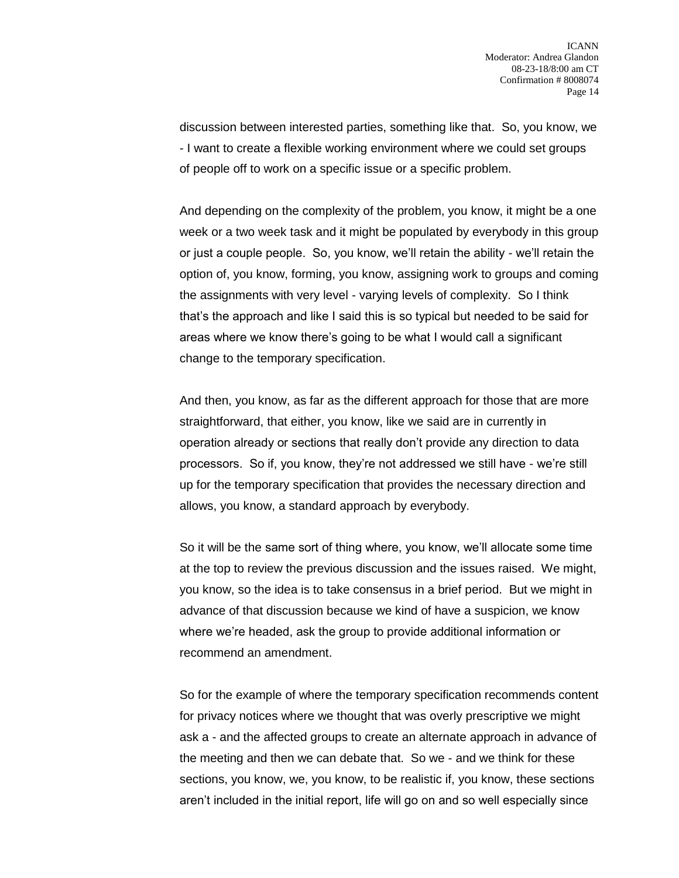discussion between interested parties, something like that. So, you know, we - I want to create a flexible working environment where we could set groups of people off to work on a specific issue or a specific problem.

And depending on the complexity of the problem, you know, it might be a one week or a two week task and it might be populated by everybody in this group or just a couple people. So, you know, we'll retain the ability - we'll retain the option of, you know, forming, you know, assigning work to groups and coming the assignments with very level - varying levels of complexity. So I think that's the approach and like I said this is so typical but needed to be said for areas where we know there's going to be what I would call a significant change to the temporary specification.

And then, you know, as far as the different approach for those that are more straightforward, that either, you know, like we said are in currently in operation already or sections that really don't provide any direction to data processors. So if, you know, they're not addressed we still have - we're still up for the temporary specification that provides the necessary direction and allows, you know, a standard approach by everybody.

So it will be the same sort of thing where, you know, we'll allocate some time at the top to review the previous discussion and the issues raised. We might, you know, so the idea is to take consensus in a brief period. But we might in advance of that discussion because we kind of have a suspicion, we know where we're headed, ask the group to provide additional information or recommend an amendment.

So for the example of where the temporary specification recommends content for privacy notices where we thought that was overly prescriptive we might ask a - and the affected groups to create an alternate approach in advance of the meeting and then we can debate that. So we - and we think for these sections, you know, we, you know, to be realistic if, you know, these sections aren't included in the initial report, life will go on and so well especially since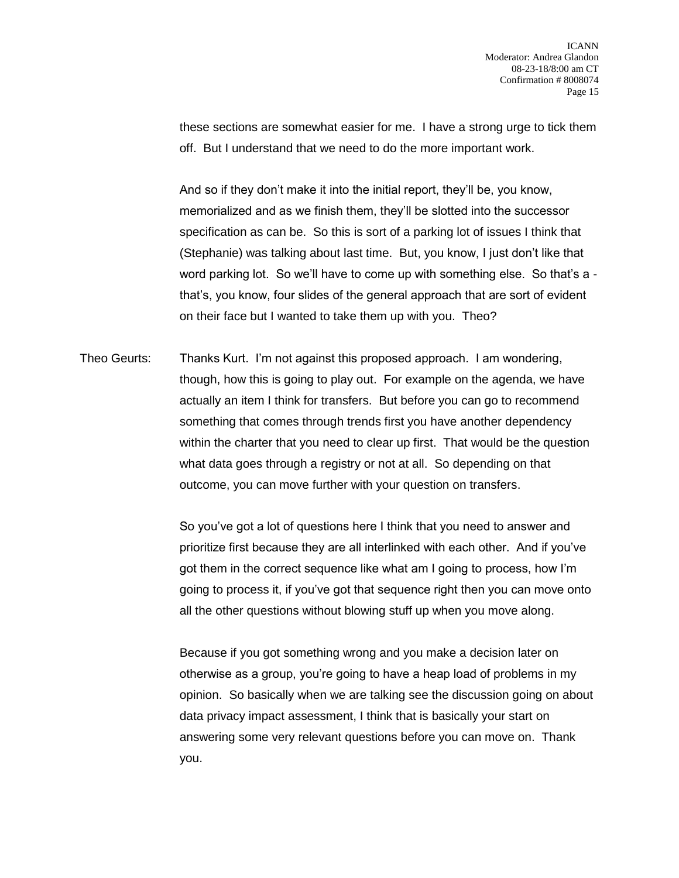these sections are somewhat easier for me. I have a strong urge to tick them off. But I understand that we need to do the more important work.

And so if they don't make it into the initial report, they'll be, you know, memorialized and as we finish them, they'll be slotted into the successor specification as can be. So this is sort of a parking lot of issues I think that (Stephanie) was talking about last time. But, you know, I just don't like that word parking lot. So we'll have to come up with something else. So that's a that's, you know, four slides of the general approach that are sort of evident on their face but I wanted to take them up with you. Theo?

Theo Geurts: Thanks Kurt. I'm not against this proposed approach. I am wondering, though, how this is going to play out. For example on the agenda, we have actually an item I think for transfers. But before you can go to recommend something that comes through trends first you have another dependency within the charter that you need to clear up first. That would be the question what data goes through a registry or not at all. So depending on that outcome, you can move further with your question on transfers.

> So you've got a lot of questions here I think that you need to answer and prioritize first because they are all interlinked with each other. And if you've got them in the correct sequence like what am I going to process, how I'm going to process it, if you've got that sequence right then you can move onto all the other questions without blowing stuff up when you move along.

> Because if you got something wrong and you make a decision later on otherwise as a group, you're going to have a heap load of problems in my opinion. So basically when we are talking see the discussion going on about data privacy impact assessment, I think that is basically your start on answering some very relevant questions before you can move on. Thank you.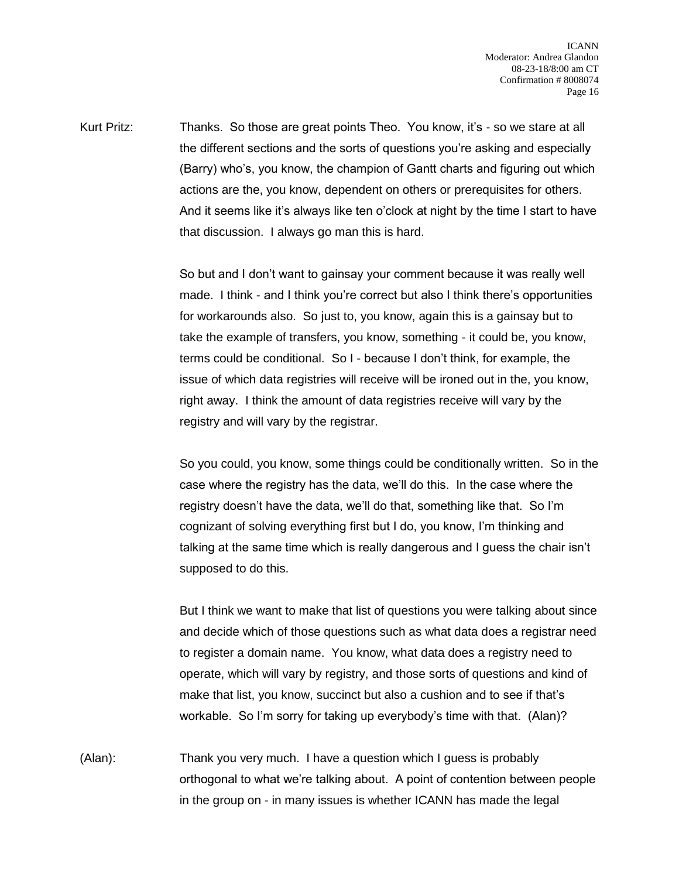Kurt Pritz: Thanks. So those are great points Theo. You know, it's - so we stare at all the different sections and the sorts of questions you're asking and especially (Barry) who's, you know, the champion of Gantt charts and figuring out which actions are the, you know, dependent on others or prerequisites for others. And it seems like it's always like ten o'clock at night by the time I start to have that discussion. I always go man this is hard.

> So but and I don't want to gainsay your comment because it was really well made. I think - and I think you're correct but also I think there's opportunities for workarounds also. So just to, you know, again this is a gainsay but to take the example of transfers, you know, something - it could be, you know, terms could be conditional. So I - because I don't think, for example, the issue of which data registries will receive will be ironed out in the, you know, right away. I think the amount of data registries receive will vary by the registry and will vary by the registrar.

So you could, you know, some things could be conditionally written. So in the case where the registry has the data, we'll do this. In the case where the registry doesn't have the data, we'll do that, something like that. So I'm cognizant of solving everything first but I do, you know, I'm thinking and talking at the same time which is really dangerous and I guess the chair isn't supposed to do this.

But I think we want to make that list of questions you were talking about since and decide which of those questions such as what data does a registrar need to register a domain name. You know, what data does a registry need to operate, which will vary by registry, and those sorts of questions and kind of make that list, you know, succinct but also a cushion and to see if that's workable. So I'm sorry for taking up everybody's time with that. (Alan)?

(Alan): Thank you very much. I have a question which I guess is probably orthogonal to what we're talking about. A point of contention between people in the group on - in many issues is whether ICANN has made the legal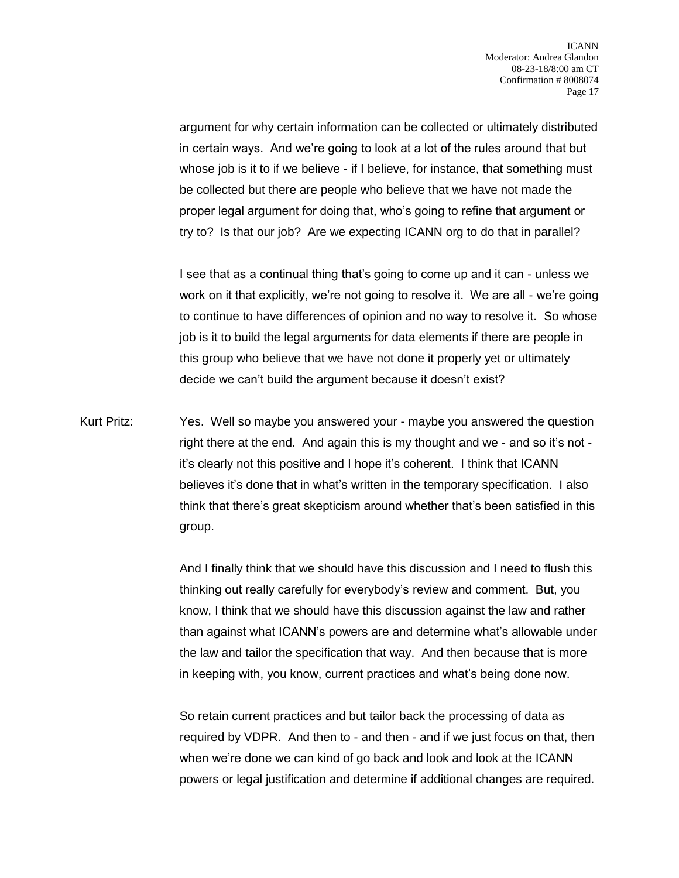argument for why certain information can be collected or ultimately distributed in certain ways. And we're going to look at a lot of the rules around that but whose job is it to if we believe - if I believe, for instance, that something must be collected but there are people who believe that we have not made the proper legal argument for doing that, who's going to refine that argument or try to? Is that our job? Are we expecting ICANN org to do that in parallel?

I see that as a continual thing that's going to come up and it can - unless we work on it that explicitly, we're not going to resolve it. We are all - we're going to continue to have differences of opinion and no way to resolve it. So whose job is it to build the legal arguments for data elements if there are people in this group who believe that we have not done it properly yet or ultimately decide we can't build the argument because it doesn't exist?

Kurt Pritz: Yes. Well so maybe you answered your - maybe you answered the question right there at the end. And again this is my thought and we - and so it's not it's clearly not this positive and I hope it's coherent. I think that ICANN believes it's done that in what's written in the temporary specification. I also think that there's great skepticism around whether that's been satisfied in this group.

> And I finally think that we should have this discussion and I need to flush this thinking out really carefully for everybody's review and comment. But, you know, I think that we should have this discussion against the law and rather than against what ICANN's powers are and determine what's allowable under the law and tailor the specification that way. And then because that is more in keeping with, you know, current practices and what's being done now.

> So retain current practices and but tailor back the processing of data as required by VDPR. And then to - and then - and if we just focus on that, then when we're done we can kind of go back and look and look at the ICANN powers or legal justification and determine if additional changes are required.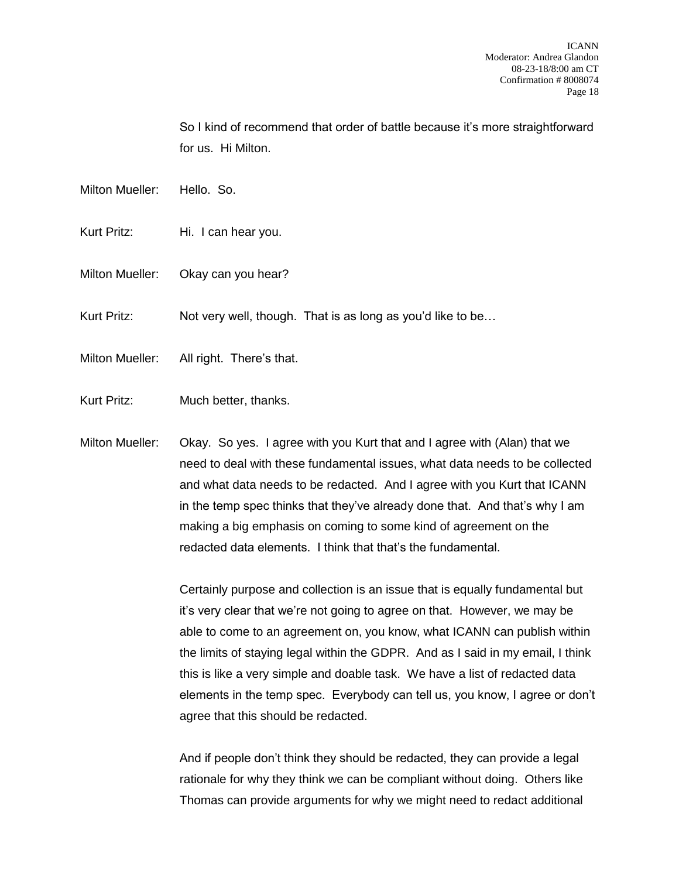So I kind of recommend that order of battle because it's more straightforward for us. Hi Milton.

- Milton Mueller: Hello. So.
- Kurt Pritz: Hi. I can hear you.
- Milton Mueller: Okay can you hear?
- Kurt Pritz: Not very well, though. That is as long as you'd like to be...
- Milton Mueller: All right. There's that.
- Kurt Pritz: Much better, thanks.
- Milton Mueller: Okay. So yes. I agree with you Kurt that and I agree with (Alan) that we need to deal with these fundamental issues, what data needs to be collected and what data needs to be redacted. And I agree with you Kurt that ICANN in the temp spec thinks that they've already done that. And that's why I am making a big emphasis on coming to some kind of agreement on the redacted data elements. I think that that's the fundamental.

Certainly purpose and collection is an issue that is equally fundamental but it's very clear that we're not going to agree on that. However, we may be able to come to an agreement on, you know, what ICANN can publish within the limits of staying legal within the GDPR. And as I said in my email, I think this is like a very simple and doable task. We have a list of redacted data elements in the temp spec. Everybody can tell us, you know, I agree or don't agree that this should be redacted.

And if people don't think they should be redacted, they can provide a legal rationale for why they think we can be compliant without doing. Others like Thomas can provide arguments for why we might need to redact additional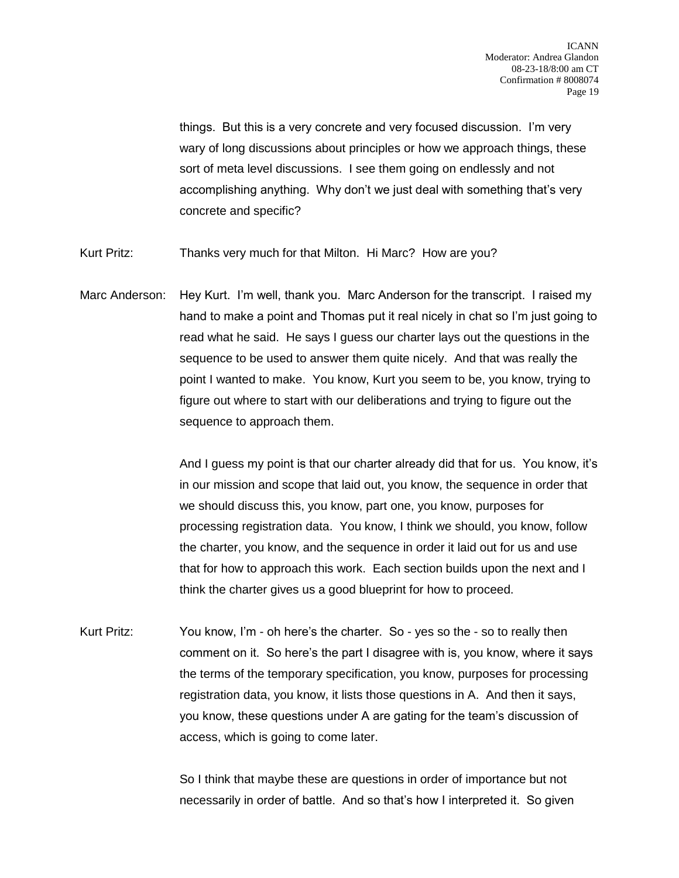things. But this is a very concrete and very focused discussion. I'm very wary of long discussions about principles or how we approach things, these sort of meta level discussions. I see them going on endlessly and not accomplishing anything. Why don't we just deal with something that's very concrete and specific?

- Kurt Pritz: Thanks very much for that Milton. Hi Marc? How are you?
- Marc Anderson: Hey Kurt. I'm well, thank you. Marc Anderson for the transcript. I raised my hand to make a point and Thomas put it real nicely in chat so I'm just going to read what he said. He says I guess our charter lays out the questions in the sequence to be used to answer them quite nicely. And that was really the point I wanted to make. You know, Kurt you seem to be, you know, trying to figure out where to start with our deliberations and trying to figure out the sequence to approach them.

And I guess my point is that our charter already did that for us. You know, it's in our mission and scope that laid out, you know, the sequence in order that we should discuss this, you know, part one, you know, purposes for processing registration data. You know, I think we should, you know, follow the charter, you know, and the sequence in order it laid out for us and use that for how to approach this work. Each section builds upon the next and I think the charter gives us a good blueprint for how to proceed.

Kurt Pritz: You know, I'm - oh here's the charter. So - yes so the - so to really then comment on it. So here's the part I disagree with is, you know, where it says the terms of the temporary specification, you know, purposes for processing registration data, you know, it lists those questions in A. And then it says, you know, these questions under A are gating for the team's discussion of access, which is going to come later.

> So I think that maybe these are questions in order of importance but not necessarily in order of battle. And so that's how I interpreted it. So given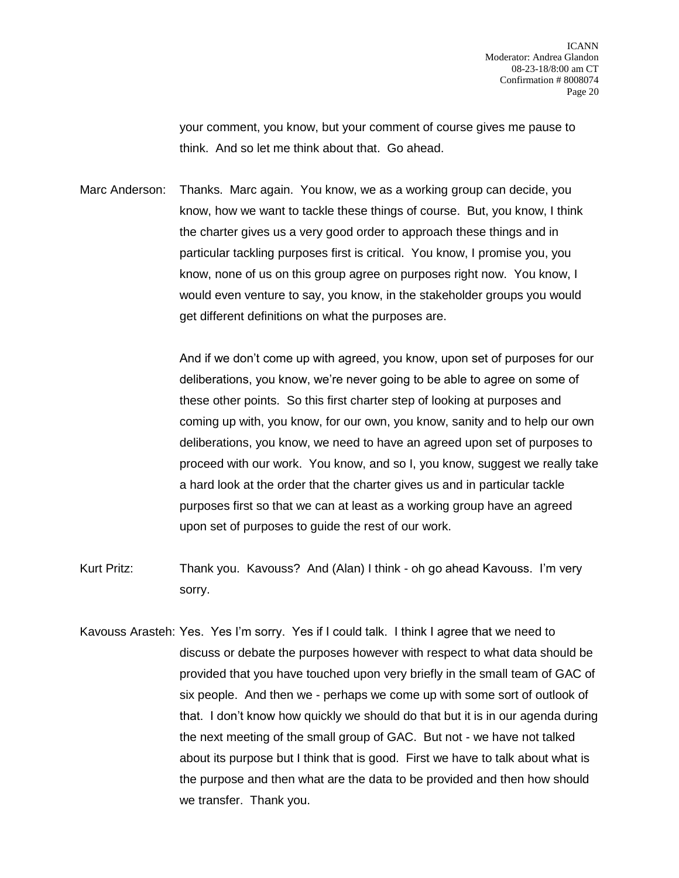your comment, you know, but your comment of course gives me pause to think. And so let me think about that. Go ahead.

Marc Anderson: Thanks. Marc again. You know, we as a working group can decide, you know, how we want to tackle these things of course. But, you know, I think the charter gives us a very good order to approach these things and in particular tackling purposes first is critical. You know, I promise you, you know, none of us on this group agree on purposes right now. You know, I would even venture to say, you know, in the stakeholder groups you would get different definitions on what the purposes are.

> And if we don't come up with agreed, you know, upon set of purposes for our deliberations, you know, we're never going to be able to agree on some of these other points. So this first charter step of looking at purposes and coming up with, you know, for our own, you know, sanity and to help our own deliberations, you know, we need to have an agreed upon set of purposes to proceed with our work. You know, and so I, you know, suggest we really take a hard look at the order that the charter gives us and in particular tackle purposes first so that we can at least as a working group have an agreed upon set of purposes to guide the rest of our work.

- Kurt Pritz: Thank you. Kavouss? And (Alan) I think oh go ahead Kavouss. I'm very sorry.
- Kavouss Arasteh: Yes. Yes I'm sorry. Yes if I could talk. I think I agree that we need to discuss or debate the purposes however with respect to what data should be provided that you have touched upon very briefly in the small team of GAC of six people. And then we - perhaps we come up with some sort of outlook of that. I don't know how quickly we should do that but it is in our agenda during the next meeting of the small group of GAC. But not - we have not talked about its purpose but I think that is good. First we have to talk about what is the purpose and then what are the data to be provided and then how should we transfer. Thank you.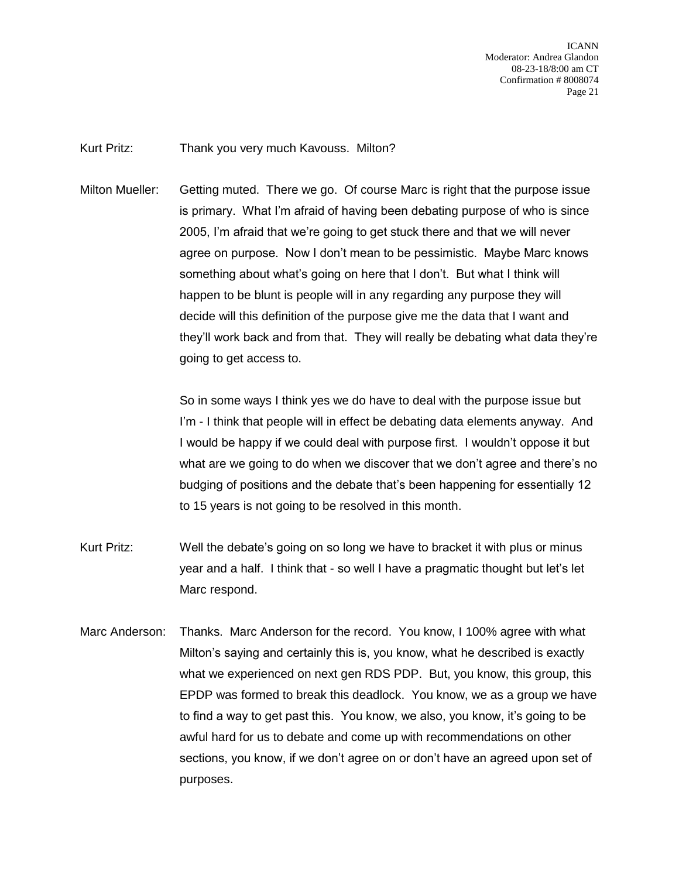ICANN Moderator: Andrea Glandon 08-23-18/8:00 am CT Confirmation # 8008074 Page 21

Kurt Pritz: Thank you very much Kavouss. Milton?

Milton Mueller: Getting muted. There we go. Of course Marc is right that the purpose issue is primary. What I'm afraid of having been debating purpose of who is since 2005, I'm afraid that we're going to get stuck there and that we will never agree on purpose. Now I don't mean to be pessimistic. Maybe Marc knows something about what's going on here that I don't. But what I think will happen to be blunt is people will in any regarding any purpose they will decide will this definition of the purpose give me the data that I want and they'll work back and from that. They will really be debating what data they're going to get access to.

> So in some ways I think yes we do have to deal with the purpose issue but I'm - I think that people will in effect be debating data elements anyway. And I would be happy if we could deal with purpose first. I wouldn't oppose it but what are we going to do when we discover that we don't agree and there's no budging of positions and the debate that's been happening for essentially 12 to 15 years is not going to be resolved in this month.

- Kurt Pritz: Well the debate's going on so long we have to bracket it with plus or minus year and a half. I think that - so well I have a pragmatic thought but let's let Marc respond.
- Marc Anderson: Thanks. Marc Anderson for the record. You know, I 100% agree with what Milton's saying and certainly this is, you know, what he described is exactly what we experienced on next gen RDS PDP. But, you know, this group, this EPDP was formed to break this deadlock. You know, we as a group we have to find a way to get past this. You know, we also, you know, it's going to be awful hard for us to debate and come up with recommendations on other sections, you know, if we don't agree on or don't have an agreed upon set of purposes.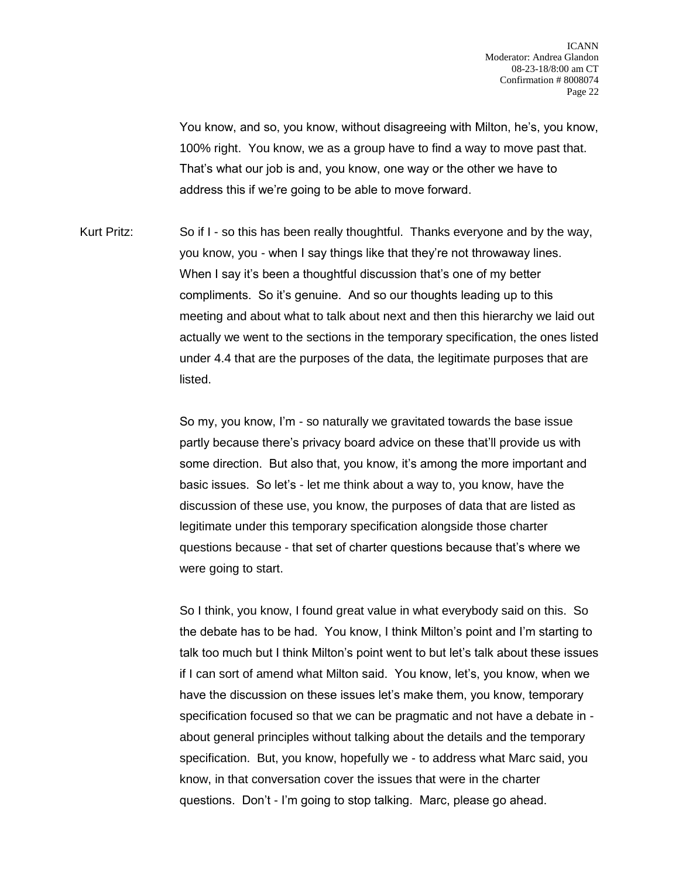You know, and so, you know, without disagreeing with Milton, he's, you know, 100% right. You know, we as a group have to find a way to move past that. That's what our job is and, you know, one way or the other we have to address this if we're going to be able to move forward.

Kurt Pritz: So if I - so this has been really thoughtful. Thanks everyone and by the way, you know, you - when I say things like that they're not throwaway lines. When I say it's been a thoughtful discussion that's one of my better compliments. So it's genuine. And so our thoughts leading up to this meeting and about what to talk about next and then this hierarchy we laid out actually we went to the sections in the temporary specification, the ones listed under 4.4 that are the purposes of the data, the legitimate purposes that are listed.

> So my, you know, I'm - so naturally we gravitated towards the base issue partly because there's privacy board advice on these that'll provide us with some direction. But also that, you know, it's among the more important and basic issues. So let's - let me think about a way to, you know, have the discussion of these use, you know, the purposes of data that are listed as legitimate under this temporary specification alongside those charter questions because - that set of charter questions because that's where we were going to start.

So I think, you know, I found great value in what everybody said on this. So the debate has to be had. You know, I think Milton's point and I'm starting to talk too much but I think Milton's point went to but let's talk about these issues if I can sort of amend what Milton said. You know, let's, you know, when we have the discussion on these issues let's make them, you know, temporary specification focused so that we can be pragmatic and not have a debate in about general principles without talking about the details and the temporary specification. But, you know, hopefully we - to address what Marc said, you know, in that conversation cover the issues that were in the charter questions. Don't - I'm going to stop talking. Marc, please go ahead.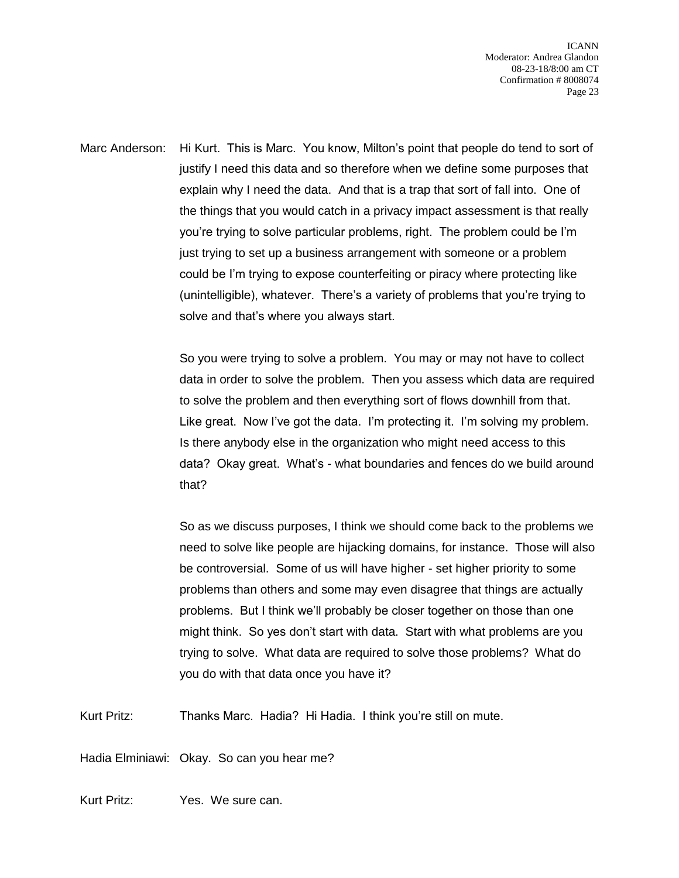ICANN Moderator: Andrea Glandon 08-23-18/8:00 am CT Confirmation # 8008074 Page 23

Marc Anderson: Hi Kurt. This is Marc. You know, Milton's point that people do tend to sort of justify I need this data and so therefore when we define some purposes that explain why I need the data. And that is a trap that sort of fall into. One of the things that you would catch in a privacy impact assessment is that really you're trying to solve particular problems, right. The problem could be I'm just trying to set up a business arrangement with someone or a problem could be I'm trying to expose counterfeiting or piracy where protecting like (unintelligible), whatever. There's a variety of problems that you're trying to solve and that's where you always start.

> So you were trying to solve a problem. You may or may not have to collect data in order to solve the problem. Then you assess which data are required to solve the problem and then everything sort of flows downhill from that. Like great. Now I've got the data. I'm protecting it. I'm solving my problem. Is there anybody else in the organization who might need access to this data? Okay great. What's - what boundaries and fences do we build around that?

> So as we discuss purposes, I think we should come back to the problems we need to solve like people are hijacking domains, for instance. Those will also be controversial. Some of us will have higher - set higher priority to some problems than others and some may even disagree that things are actually problems. But I think we'll probably be closer together on those than one might think. So yes don't start with data. Start with what problems are you trying to solve. What data are required to solve those problems? What do you do with that data once you have it?

Kurt Pritz: Thanks Marc. Hadia? Hi Hadia. I think you're still on mute.

Hadia Elminiawi: Okay. So can you hear me?

Kurt Pritz: Yes. We sure can.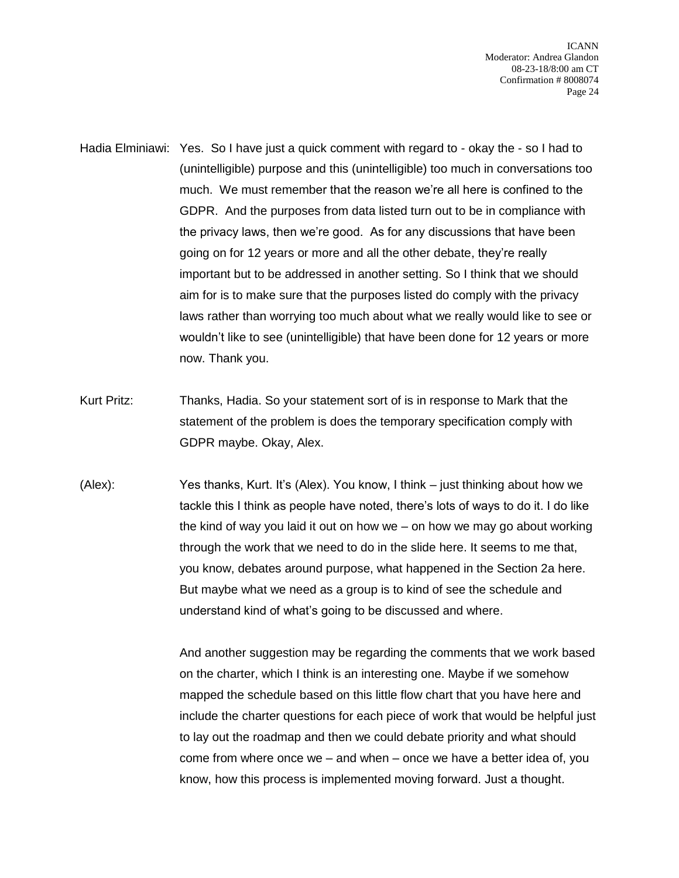ICANN Moderator: Andrea Glandon 08-23-18/8:00 am CT Confirmation # 8008074 Page 24

- Hadia Elminiawi: Yes. So I have just a quick comment with regard to okay the so I had to (unintelligible) purpose and this (unintelligible) too much in conversations too much. We must remember that the reason we're all here is confined to the GDPR. And the purposes from data listed turn out to be in compliance with the privacy laws, then we're good. As for any discussions that have been going on for 12 years or more and all the other debate, they're really important but to be addressed in another setting. So I think that we should aim for is to make sure that the purposes listed do comply with the privacy laws rather than worrying too much about what we really would like to see or wouldn't like to see (unintelligible) that have been done for 12 years or more now. Thank you.
- Kurt Pritz: Thanks, Hadia. So your statement sort of is in response to Mark that the statement of the problem is does the temporary specification comply with GDPR maybe. Okay, Alex.
- (Alex): Yes thanks, Kurt. It's (Alex). You know, I think just thinking about how we tackle this I think as people have noted, there's lots of ways to do it. I do like the kind of way you laid it out on how we – on how we may go about working through the work that we need to do in the slide here. It seems to me that, you know, debates around purpose, what happened in the Section 2a here. But maybe what we need as a group is to kind of see the schedule and understand kind of what's going to be discussed and where.

And another suggestion may be regarding the comments that we work based on the charter, which I think is an interesting one. Maybe if we somehow mapped the schedule based on this little flow chart that you have here and include the charter questions for each piece of work that would be helpful just to lay out the roadmap and then we could debate priority and what should come from where once we – and when – once we have a better idea of, you know, how this process is implemented moving forward. Just a thought.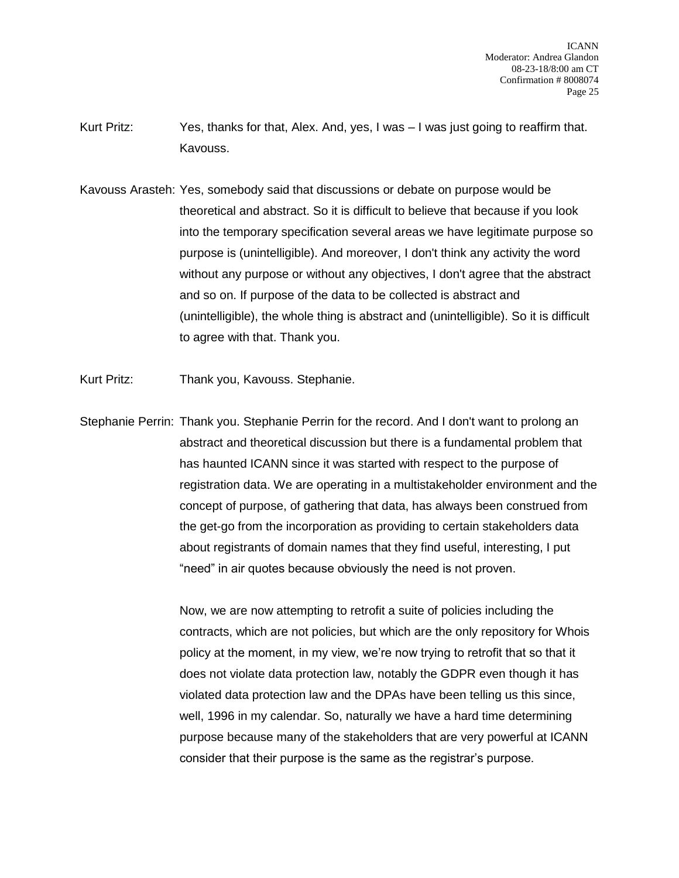- Kurt Pritz: Yes, thanks for that, Alex. And, yes, I was I was just going to reaffirm that. Kavouss.
- Kavouss Arasteh: Yes, somebody said that discussions or debate on purpose would be theoretical and abstract. So it is difficult to believe that because if you look into the temporary specification several areas we have legitimate purpose so purpose is (unintelligible). And moreover, I don't think any activity the word without any purpose or without any objectives, I don't agree that the abstract and so on. If purpose of the data to be collected is abstract and (unintelligible), the whole thing is abstract and (unintelligible). So it is difficult to agree with that. Thank you.
- Kurt Pritz: Thank you, Kavouss. Stephanie.
- Stephanie Perrin: Thank you. Stephanie Perrin for the record. And I don't want to prolong an abstract and theoretical discussion but there is a fundamental problem that has haunted ICANN since it was started with respect to the purpose of registration data. We are operating in a multistakeholder environment and the concept of purpose, of gathering that data, has always been construed from the get-go from the incorporation as providing to certain stakeholders data about registrants of domain names that they find useful, interesting, I put "need" in air quotes because obviously the need is not proven.

Now, we are now attempting to retrofit a suite of policies including the contracts, which are not policies, but which are the only repository for Whois policy at the moment, in my view, we're now trying to retrofit that so that it does not violate data protection law, notably the GDPR even though it has violated data protection law and the DPAs have been telling us this since, well, 1996 in my calendar. So, naturally we have a hard time determining purpose because many of the stakeholders that are very powerful at ICANN consider that their purpose is the same as the registrar's purpose.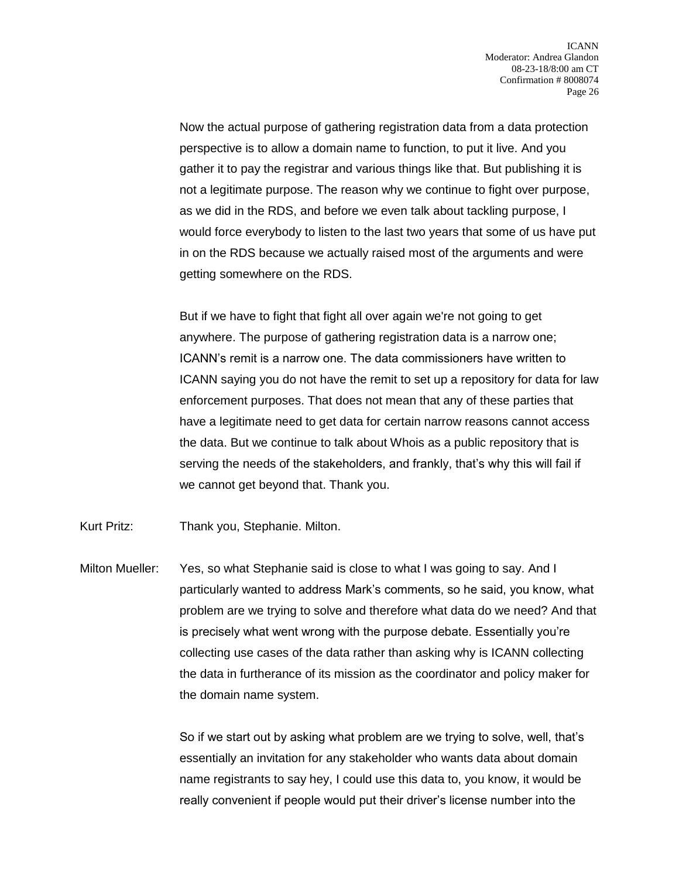Now the actual purpose of gathering registration data from a data protection perspective is to allow a domain name to function, to put it live. And you gather it to pay the registrar and various things like that. But publishing it is not a legitimate purpose. The reason why we continue to fight over purpose, as we did in the RDS, and before we even talk about tackling purpose, I would force everybody to listen to the last two years that some of us have put in on the RDS because we actually raised most of the arguments and were getting somewhere on the RDS.

But if we have to fight that fight all over again we're not going to get anywhere. The purpose of gathering registration data is a narrow one; ICANN's remit is a narrow one. The data commissioners have written to ICANN saying you do not have the remit to set up a repository for data for law enforcement purposes. That does not mean that any of these parties that have a legitimate need to get data for certain narrow reasons cannot access the data. But we continue to talk about Whois as a public repository that is serving the needs of the stakeholders, and frankly, that's why this will fail if we cannot get beyond that. Thank you.

Kurt Pritz: Thank you, Stephanie. Milton.

Milton Mueller: Yes, so what Stephanie said is close to what I was going to say. And I particularly wanted to address Mark's comments, so he said, you know, what problem are we trying to solve and therefore what data do we need? And that is precisely what went wrong with the purpose debate. Essentially you're collecting use cases of the data rather than asking why is ICANN collecting the data in furtherance of its mission as the coordinator and policy maker for the domain name system.

> So if we start out by asking what problem are we trying to solve, well, that's essentially an invitation for any stakeholder who wants data about domain name registrants to say hey, I could use this data to, you know, it would be really convenient if people would put their driver's license number into the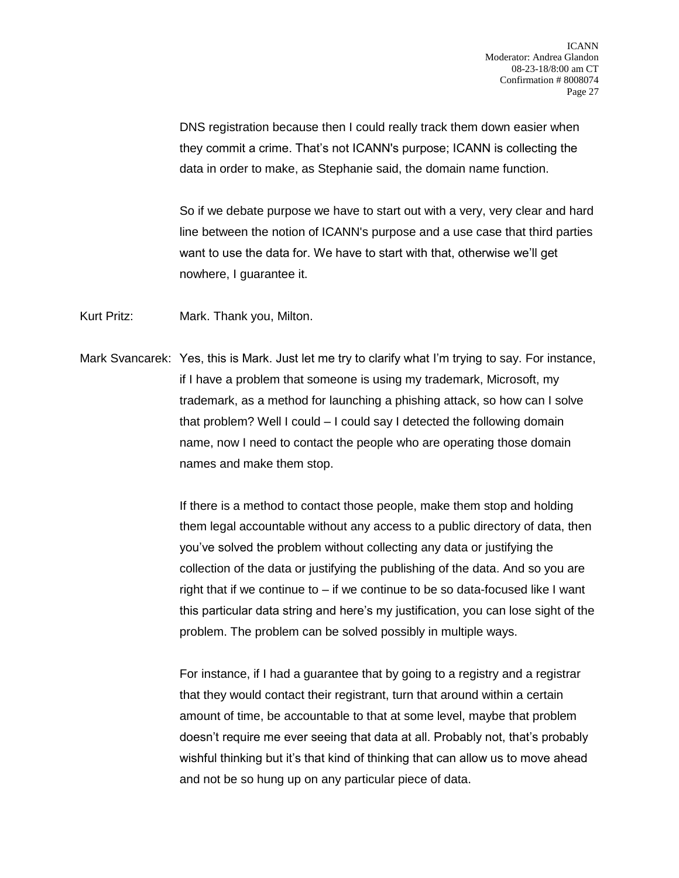DNS registration because then I could really track them down easier when they commit a crime. That's not ICANN's purpose; ICANN is collecting the data in order to make, as Stephanie said, the domain name function.

So if we debate purpose we have to start out with a very, very clear and hard line between the notion of ICANN's purpose and a use case that third parties want to use the data for. We have to start with that, otherwise we'll get nowhere, I guarantee it.

Kurt Pritz: Mark. Thank you, Milton.

Mark Svancarek: Yes, this is Mark. Just let me try to clarify what I'm trying to say. For instance, if I have a problem that someone is using my trademark, Microsoft, my trademark, as a method for launching a phishing attack, so how can I solve that problem? Well I could – I could say I detected the following domain name, now I need to contact the people who are operating those domain names and make them stop.

> If there is a method to contact those people, make them stop and holding them legal accountable without any access to a public directory of data, then you've solved the problem without collecting any data or justifying the collection of the data or justifying the publishing of the data. And so you are right that if we continue to – if we continue to be so data-focused like I want this particular data string and here's my justification, you can lose sight of the problem. The problem can be solved possibly in multiple ways.

For instance, if I had a guarantee that by going to a registry and a registrar that they would contact their registrant, turn that around within a certain amount of time, be accountable to that at some level, maybe that problem doesn't require me ever seeing that data at all. Probably not, that's probably wishful thinking but it's that kind of thinking that can allow us to move ahead and not be so hung up on any particular piece of data.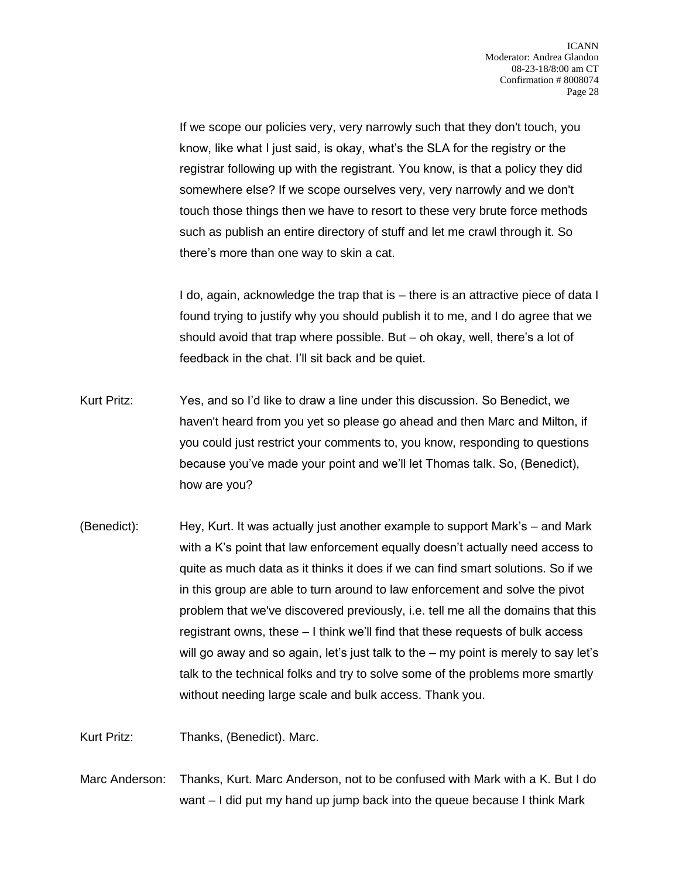If we scope our policies very, very narrowly such that they don't touch, you know, like what I just said, is okay, what's the SLA for the registry or the registrar following up with the registrant. You know, is that a policy they did somewhere else? If we scope ourselves very, very narrowly and we don't touch those things then we have to resort to these very brute force methods such as publish an entire directory of stuff and let me crawl through it. So there's more than one way to skin a cat.

I do, again, acknowledge the trap that is – there is an attractive piece of data I found trying to justify why you should publish it to me, and I do agree that we should avoid that trap where possible. But – oh okay, well, there's a lot of feedback in the chat. I'll sit back and be quiet.

- Kurt Pritz: Yes, and so I'd like to draw a line under this discussion. So Benedict, we haven't heard from you yet so please go ahead and then Marc and Milton, if you could just restrict your comments to, you know, responding to questions because you've made your point and we'll let Thomas talk. So, (Benedict), how are you?
- (Benedict): Hey, Kurt. It was actually just another example to support Mark's and Mark with a K's point that law enforcement equally doesn't actually need access to quite as much data as it thinks it does if we can find smart solutions. So if we in this group are able to turn around to law enforcement and solve the pivot problem that we've discovered previously, i.e. tell me all the domains that this registrant owns, these – I think we'll find that these requests of bulk access will go away and so again, let's just talk to the – my point is merely to say let's talk to the technical folks and try to solve some of the problems more smartly without needing large scale and bulk access. Thank you.

Kurt Pritz: Thanks, (Benedict). Marc.

Marc Anderson: Thanks, Kurt. Marc Anderson, not to be confused with Mark with a K. But I do want – I did put my hand up jump back into the queue because I think Mark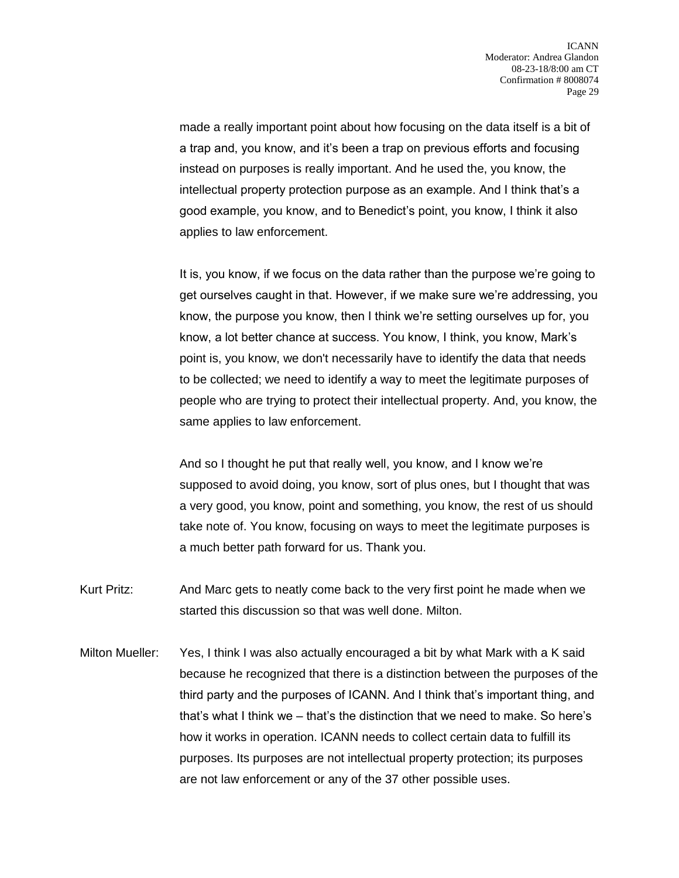made a really important point about how focusing on the data itself is a bit of a trap and, you know, and it's been a trap on previous efforts and focusing instead on purposes is really important. And he used the, you know, the intellectual property protection purpose as an example. And I think that's a good example, you know, and to Benedict's point, you know, I think it also applies to law enforcement.

It is, you know, if we focus on the data rather than the purpose we're going to get ourselves caught in that. However, if we make sure we're addressing, you know, the purpose you know, then I think we're setting ourselves up for, you know, a lot better chance at success. You know, I think, you know, Mark's point is, you know, we don't necessarily have to identify the data that needs to be collected; we need to identify a way to meet the legitimate purposes of people who are trying to protect their intellectual property. And, you know, the same applies to law enforcement.

And so I thought he put that really well, you know, and I know we're supposed to avoid doing, you know, sort of plus ones, but I thought that was a very good, you know, point and something, you know, the rest of us should take note of. You know, focusing on ways to meet the legitimate purposes is a much better path forward for us. Thank you.

- Kurt Pritz: And Marc gets to neatly come back to the very first point he made when we started this discussion so that was well done. Milton.
- Milton Mueller: Yes, I think I was also actually encouraged a bit by what Mark with a K said because he recognized that there is a distinction between the purposes of the third party and the purposes of ICANN. And I think that's important thing, and that's what I think we – that's the distinction that we need to make. So here's how it works in operation. ICANN needs to collect certain data to fulfill its purposes. Its purposes are not intellectual property protection; its purposes are not law enforcement or any of the 37 other possible uses.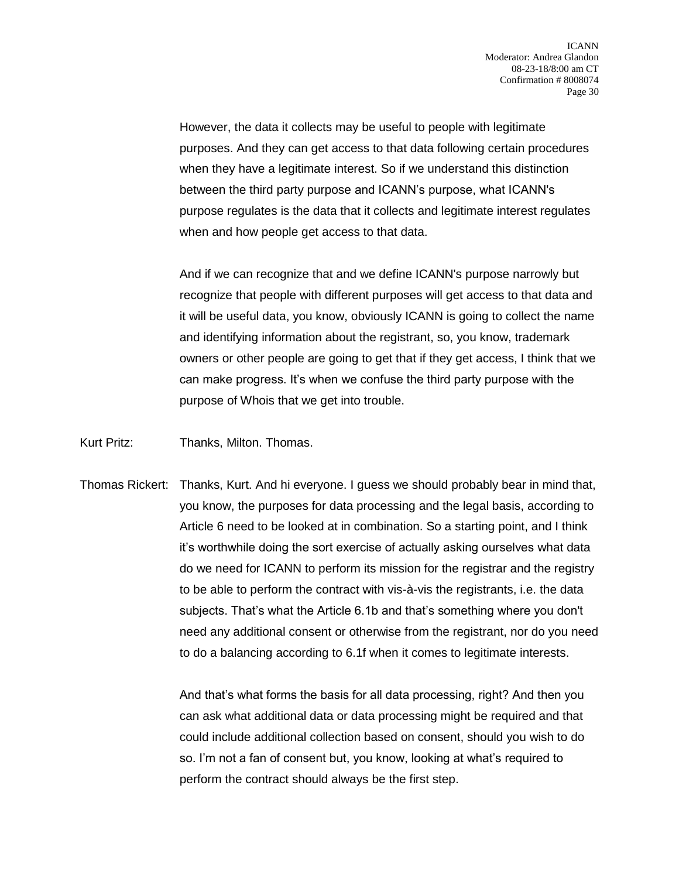However, the data it collects may be useful to people with legitimate purposes. And they can get access to that data following certain procedures when they have a legitimate interest. So if we understand this distinction between the third party purpose and ICANN's purpose, what ICANN's purpose regulates is the data that it collects and legitimate interest regulates when and how people get access to that data.

And if we can recognize that and we define ICANN's purpose narrowly but recognize that people with different purposes will get access to that data and it will be useful data, you know, obviously ICANN is going to collect the name and identifying information about the registrant, so, you know, trademark owners or other people are going to get that if they get access, I think that we can make progress. It's when we confuse the third party purpose with the purpose of Whois that we get into trouble.

Kurt Pritz: Thanks, Milton. Thomas.

Thomas Rickert: Thanks, Kurt. And hi everyone. I guess we should probably bear in mind that, you know, the purposes for data processing and the legal basis, according to Article 6 need to be looked at in combination. So a starting point, and I think it's worthwhile doing the sort exercise of actually asking ourselves what data do we need for ICANN to perform its mission for the registrar and the registry to be able to perform the contract with vis-à-vis the registrants, i.e. the data subjects. That's what the Article 6.1b and that's something where you don't need any additional consent or otherwise from the registrant, nor do you need to do a balancing according to 6.1f when it comes to legitimate interests.

> And that's what forms the basis for all data processing, right? And then you can ask what additional data or data processing might be required and that could include additional collection based on consent, should you wish to do so. I'm not a fan of consent but, you know, looking at what's required to perform the contract should always be the first step.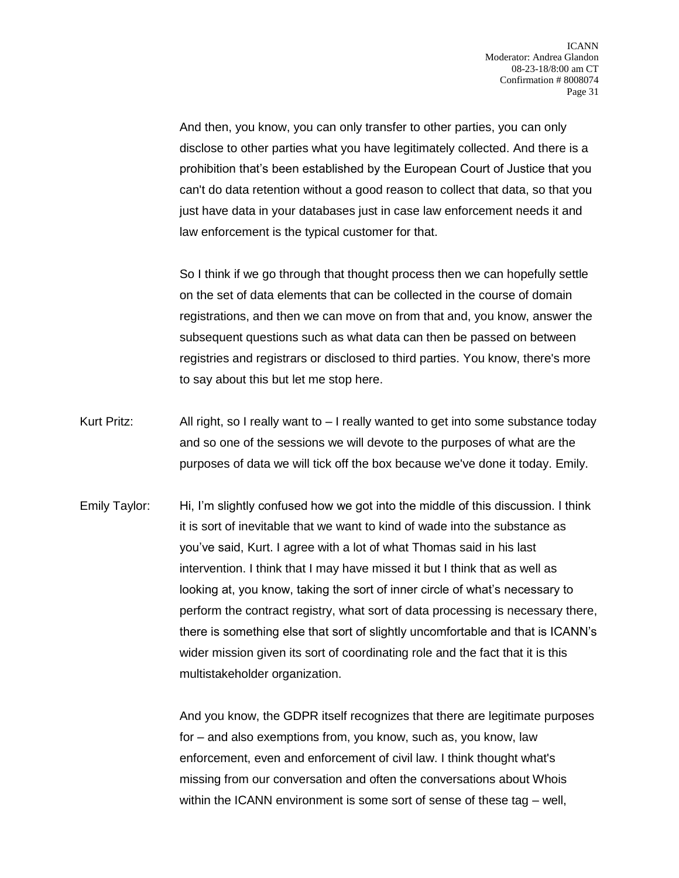And then, you know, you can only transfer to other parties, you can only disclose to other parties what you have legitimately collected. And there is a prohibition that's been established by the European Court of Justice that you can't do data retention without a good reason to collect that data, so that you just have data in your databases just in case law enforcement needs it and law enforcement is the typical customer for that.

So I think if we go through that thought process then we can hopefully settle on the set of data elements that can be collected in the course of domain registrations, and then we can move on from that and, you know, answer the subsequent questions such as what data can then be passed on between registries and registrars or disclosed to third parties. You know, there's more to say about this but let me stop here.

- Kurt Pritz:  $\Delta I$  all right, so I really want to  $I$  really wanted to get into some substance today and so one of the sessions we will devote to the purposes of what are the purposes of data we will tick off the box because we've done it today. Emily.
- Emily Taylor: Hi, I'm slightly confused how we got into the middle of this discussion. I think it is sort of inevitable that we want to kind of wade into the substance as you've said, Kurt. I agree with a lot of what Thomas said in his last intervention. I think that I may have missed it but I think that as well as looking at, you know, taking the sort of inner circle of what's necessary to perform the contract registry, what sort of data processing is necessary there, there is something else that sort of slightly uncomfortable and that is ICANN's wider mission given its sort of coordinating role and the fact that it is this multistakeholder organization.

And you know, the GDPR itself recognizes that there are legitimate purposes for – and also exemptions from, you know, such as, you know, law enforcement, even and enforcement of civil law. I think thought what's missing from our conversation and often the conversations about Whois within the ICANN environment is some sort of sense of these tag – well,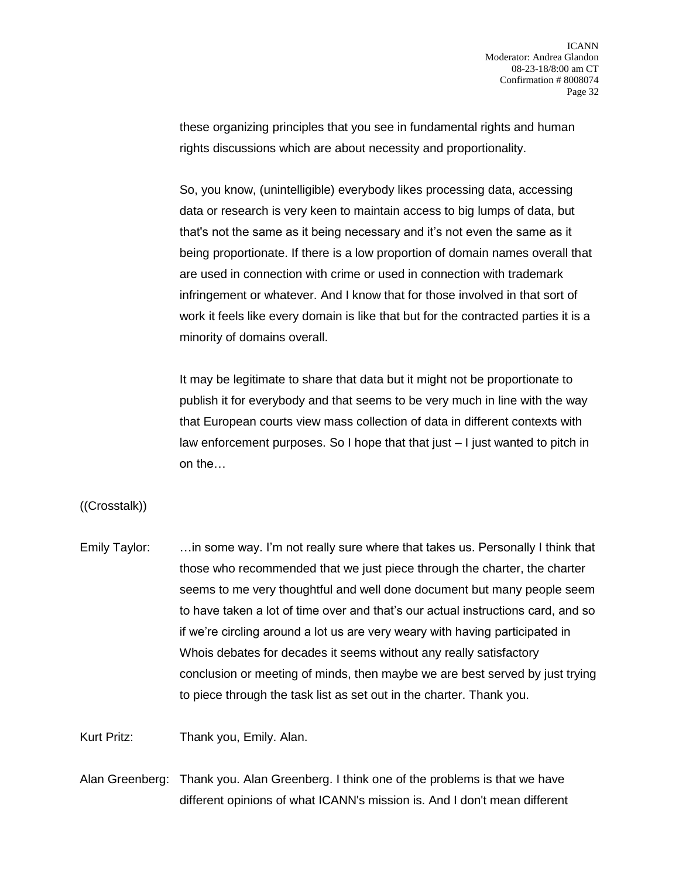these organizing principles that you see in fundamental rights and human rights discussions which are about necessity and proportionality.

So, you know, (unintelligible) everybody likes processing data, accessing data or research is very keen to maintain access to big lumps of data, but that's not the same as it being necessary and it's not even the same as it being proportionate. If there is a low proportion of domain names overall that are used in connection with crime or used in connection with trademark infringement or whatever. And I know that for those involved in that sort of work it feels like every domain is like that but for the contracted parties it is a minority of domains overall.

It may be legitimate to share that data but it might not be proportionate to publish it for everybody and that seems to be very much in line with the way that European courts view mass collection of data in different contexts with law enforcement purposes. So I hope that that just – I just wanted to pitch in on the…

((Crosstalk))

Emily Taylor: …in some way. I'm not really sure where that takes us. Personally I think that those who recommended that we just piece through the charter, the charter seems to me very thoughtful and well done document but many people seem to have taken a lot of time over and that's our actual instructions card, and so if we're circling around a lot us are very weary with having participated in Whois debates for decades it seems without any really satisfactory conclusion or meeting of minds, then maybe we are best served by just trying to piece through the task list as set out in the charter. Thank you.

Kurt Pritz: Thank you, Emily. Alan.

Alan Greenberg: Thank you. Alan Greenberg. I think one of the problems is that we have different opinions of what ICANN's mission is. And I don't mean different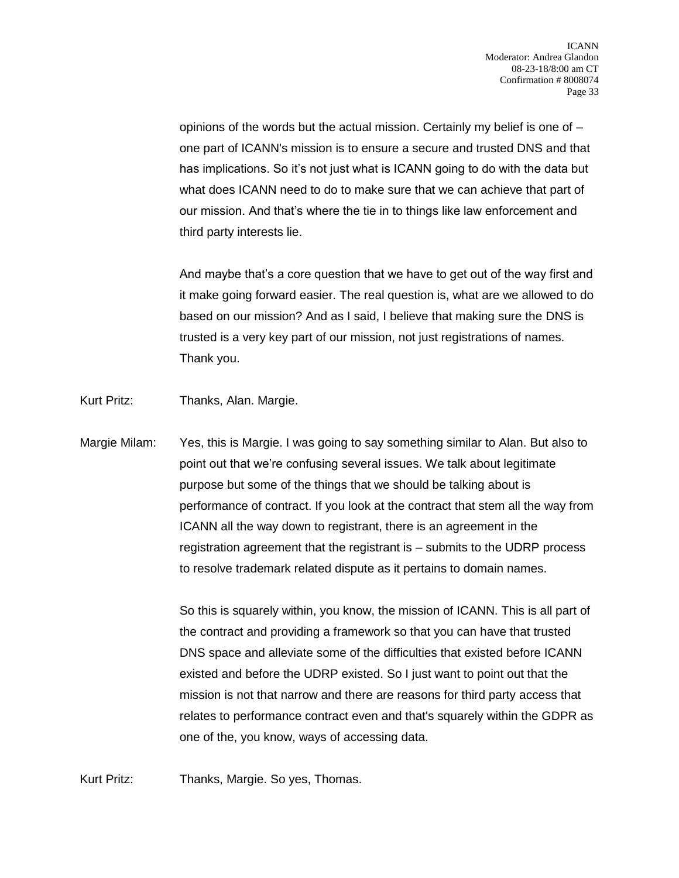opinions of the words but the actual mission. Certainly my belief is one of – one part of ICANN's mission is to ensure a secure and trusted DNS and that has implications. So it's not just what is ICANN going to do with the data but what does ICANN need to do to make sure that we can achieve that part of our mission. And that's where the tie in to things like law enforcement and third party interests lie.

And maybe that's a core question that we have to get out of the way first and it make going forward easier. The real question is, what are we allowed to do based on our mission? And as I said, I believe that making sure the DNS is trusted is a very key part of our mission, not just registrations of names. Thank you.

- Kurt Pritz: Thanks, Alan. Margie.
- Margie Milam: Yes, this is Margie. I was going to say something similar to Alan. But also to point out that we're confusing several issues. We talk about legitimate purpose but some of the things that we should be talking about is performance of contract. If you look at the contract that stem all the way from ICANN all the way down to registrant, there is an agreement in the registration agreement that the registrant is – submits to the UDRP process to resolve trademark related dispute as it pertains to domain names.

So this is squarely within, you know, the mission of ICANN. This is all part of the contract and providing a framework so that you can have that trusted DNS space and alleviate some of the difficulties that existed before ICANN existed and before the UDRP existed. So I just want to point out that the mission is not that narrow and there are reasons for third party access that relates to performance contract even and that's squarely within the GDPR as one of the, you know, ways of accessing data.

Kurt Pritz: Thanks, Margie. So yes, Thomas.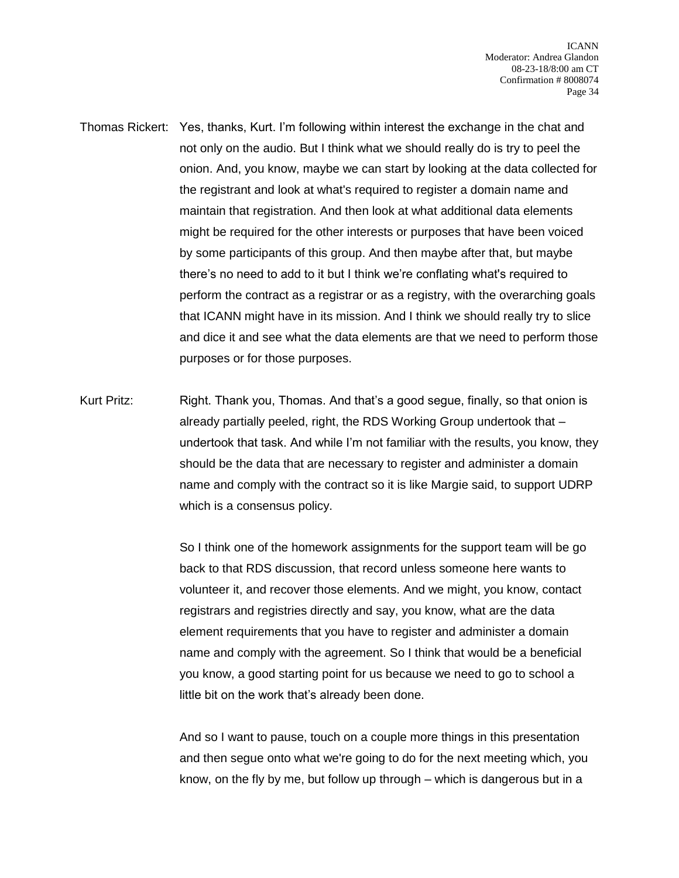- Thomas Rickert: Yes, thanks, Kurt. I'm following within interest the exchange in the chat and not only on the audio. But I think what we should really do is try to peel the onion. And, you know, maybe we can start by looking at the data collected for the registrant and look at what's required to register a domain name and maintain that registration. And then look at what additional data elements might be required for the other interests or purposes that have been voiced by some participants of this group. And then maybe after that, but maybe there's no need to add to it but I think we're conflating what's required to perform the contract as a registrar or as a registry, with the overarching goals that ICANN might have in its mission. And I think we should really try to slice and dice it and see what the data elements are that we need to perform those purposes or for those purposes.
- Kurt Pritz: Right. Thank you, Thomas. And that's a good segue, finally, so that onion is already partially peeled, right, the RDS Working Group undertook that – undertook that task. And while I'm not familiar with the results, you know, they should be the data that are necessary to register and administer a domain name and comply with the contract so it is like Margie said, to support UDRP which is a consensus policy.

So I think one of the homework assignments for the support team will be go back to that RDS discussion, that record unless someone here wants to volunteer it, and recover those elements. And we might, you know, contact registrars and registries directly and say, you know, what are the data element requirements that you have to register and administer a domain name and comply with the agreement. So I think that would be a beneficial you know, a good starting point for us because we need to go to school a little bit on the work that's already been done.

And so I want to pause, touch on a couple more things in this presentation and then segue onto what we're going to do for the next meeting which, you know, on the fly by me, but follow up through – which is dangerous but in a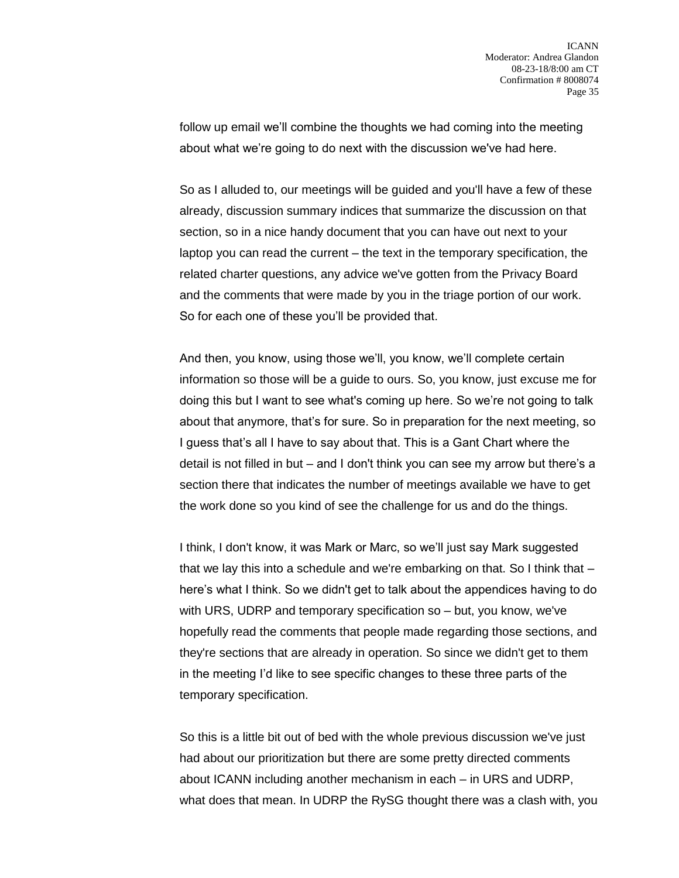follow up email we'll combine the thoughts we had coming into the meeting about what we're going to do next with the discussion we've had here.

So as I alluded to, our meetings will be guided and you'll have a few of these already, discussion summary indices that summarize the discussion on that section, so in a nice handy document that you can have out next to your laptop you can read the current – the text in the temporary specification, the related charter questions, any advice we've gotten from the Privacy Board and the comments that were made by you in the triage portion of our work. So for each one of these you'll be provided that.

And then, you know, using those we'll, you know, we'll complete certain information so those will be a guide to ours. So, you know, just excuse me for doing this but I want to see what's coming up here. So we're not going to talk about that anymore, that's for sure. So in preparation for the next meeting, so I guess that's all I have to say about that. This is a Gant Chart where the detail is not filled in but – and I don't think you can see my arrow but there's a section there that indicates the number of meetings available we have to get the work done so you kind of see the challenge for us and do the things.

I think, I don't know, it was Mark or Marc, so we'll just say Mark suggested that we lay this into a schedule and we're embarking on that. So I think that – here's what I think. So we didn't get to talk about the appendices having to do with URS, UDRP and temporary specification so – but, you know, we've hopefully read the comments that people made regarding those sections, and they're sections that are already in operation. So since we didn't get to them in the meeting I'd like to see specific changes to these three parts of the temporary specification.

So this is a little bit out of bed with the whole previous discussion we've just had about our prioritization but there are some pretty directed comments about ICANN including another mechanism in each – in URS and UDRP, what does that mean. In UDRP the RySG thought there was a clash with, you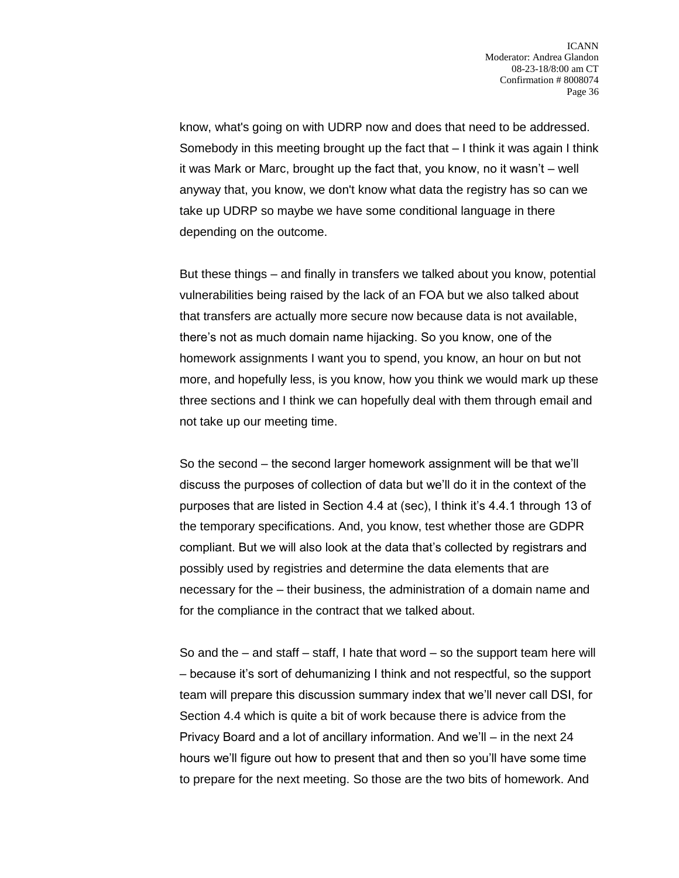know, what's going on with UDRP now and does that need to be addressed. Somebody in this meeting brought up the fact that – I think it was again I think it was Mark or Marc, brought up the fact that, you know, no it wasn't – well anyway that, you know, we don't know what data the registry has so can we take up UDRP so maybe we have some conditional language in there depending on the outcome.

But these things – and finally in transfers we talked about you know, potential vulnerabilities being raised by the lack of an FOA but we also talked about that transfers are actually more secure now because data is not available, there's not as much domain name hijacking. So you know, one of the homework assignments I want you to spend, you know, an hour on but not more, and hopefully less, is you know, how you think we would mark up these three sections and I think we can hopefully deal with them through email and not take up our meeting time.

So the second – the second larger homework assignment will be that we'll discuss the purposes of collection of data but we'll do it in the context of the purposes that are listed in Section 4.4 at (sec), I think it's 4.4.1 through 13 of the temporary specifications. And, you know, test whether those are GDPR compliant. But we will also look at the data that's collected by registrars and possibly used by registries and determine the data elements that are necessary for the – their business, the administration of a domain name and for the compliance in the contract that we talked about.

So and the  $-$  and staff  $-$  staff, I hate that word  $-$  so the support team here will – because it's sort of dehumanizing I think and not respectful, so the support team will prepare this discussion summary index that we'll never call DSI, for Section 4.4 which is quite a bit of work because there is advice from the Privacy Board and a lot of ancillary information. And we'll – in the next 24 hours we'll figure out how to present that and then so you'll have some time to prepare for the next meeting. So those are the two bits of homework. And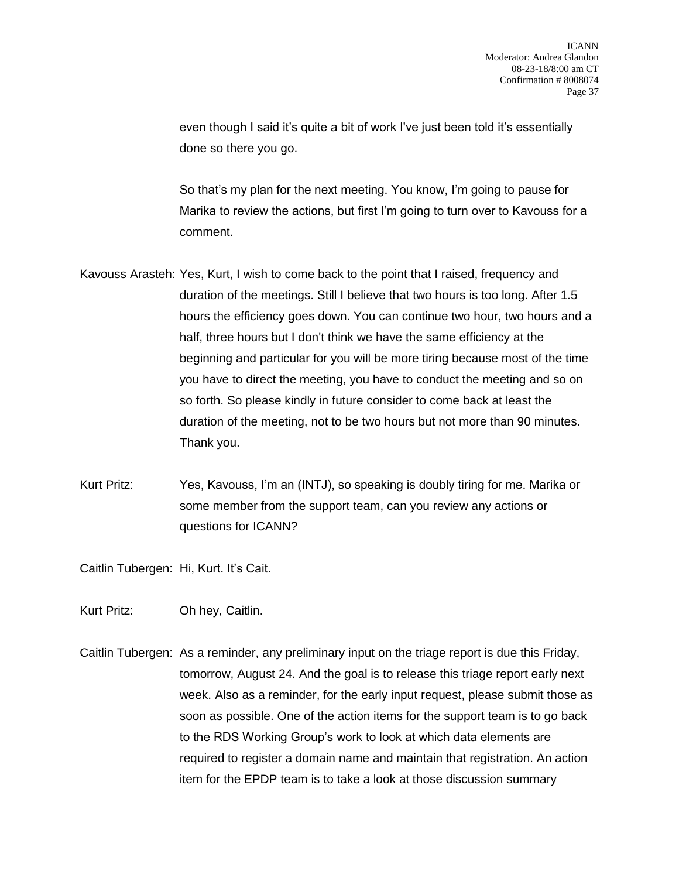even though I said it's quite a bit of work I've just been told it's essentially done so there you go.

So that's my plan for the next meeting. You know, I'm going to pause for Marika to review the actions, but first I'm going to turn over to Kavouss for a comment.

- Kavouss Arasteh: Yes, Kurt, I wish to come back to the point that I raised, frequency and duration of the meetings. Still I believe that two hours is too long. After 1.5 hours the efficiency goes down. You can continue two hour, two hours and a half, three hours but I don't think we have the same efficiency at the beginning and particular for you will be more tiring because most of the time you have to direct the meeting, you have to conduct the meeting and so on so forth. So please kindly in future consider to come back at least the duration of the meeting, not to be two hours but not more than 90 minutes. Thank you.
- Kurt Pritz: Yes, Kavouss, I'm an (INTJ), so speaking is doubly tiring for me. Marika or some member from the support team, can you review any actions or questions for ICANN?

Caitlin Tubergen: Hi, Kurt. It's Cait.

Kurt Pritz: Oh hey, Caitlin.

Caitlin Tubergen: As a reminder, any preliminary input on the triage report is due this Friday, tomorrow, August 24. And the goal is to release this triage report early next week. Also as a reminder, for the early input request, please submit those as soon as possible. One of the action items for the support team is to go back to the RDS Working Group's work to look at which data elements are required to register a domain name and maintain that registration. An action item for the EPDP team is to take a look at those discussion summary